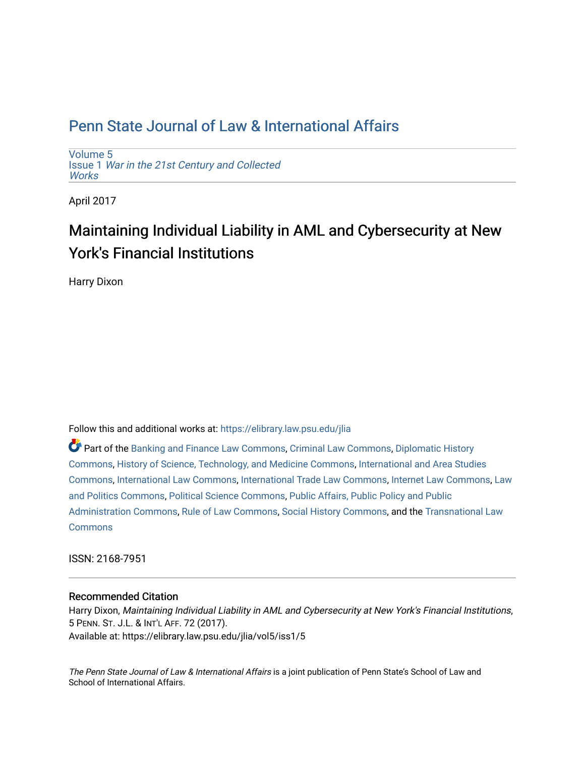[Volume 5](https://elibrary.law.psu.edu/jlia/vol5) Issue 1 [War in the 21st Century and Collected](https://elibrary.law.psu.edu/jlia/vol5/iss1) **Works** 

April 2017

# Maintaining Individual Liability in AML and Cybersecurity at New York's Financial Institutions

Harry Dixon

Follow this and additional works at: [https://elibrary.law.psu.edu/jlia](https://elibrary.law.psu.edu/jlia?utm_source=elibrary.law.psu.edu%2Fjlia%2Fvol5%2Fiss1%2F5&utm_medium=PDF&utm_campaign=PDFCoverPages) 

Part of the [Banking and Finance Law Commons,](http://network.bepress.com/hgg/discipline/833?utm_source=elibrary.law.psu.edu%2Fjlia%2Fvol5%2Fiss1%2F5&utm_medium=PDF&utm_campaign=PDFCoverPages) [Criminal Law Commons,](http://network.bepress.com/hgg/discipline/912?utm_source=elibrary.law.psu.edu%2Fjlia%2Fvol5%2Fiss1%2F5&utm_medium=PDF&utm_campaign=PDFCoverPages) [Diplomatic History](http://network.bepress.com/hgg/discipline/497?utm_source=elibrary.law.psu.edu%2Fjlia%2Fvol5%2Fiss1%2F5&utm_medium=PDF&utm_campaign=PDFCoverPages) [Commons](http://network.bepress.com/hgg/discipline/497?utm_source=elibrary.law.psu.edu%2Fjlia%2Fvol5%2Fiss1%2F5&utm_medium=PDF&utm_campaign=PDFCoverPages), [History of Science, Technology, and Medicine Commons](http://network.bepress.com/hgg/discipline/500?utm_source=elibrary.law.psu.edu%2Fjlia%2Fvol5%2Fiss1%2F5&utm_medium=PDF&utm_campaign=PDFCoverPages), [International and Area Studies](http://network.bepress.com/hgg/discipline/360?utm_source=elibrary.law.psu.edu%2Fjlia%2Fvol5%2Fiss1%2F5&utm_medium=PDF&utm_campaign=PDFCoverPages) [Commons](http://network.bepress.com/hgg/discipline/360?utm_source=elibrary.law.psu.edu%2Fjlia%2Fvol5%2Fiss1%2F5&utm_medium=PDF&utm_campaign=PDFCoverPages), [International Law Commons,](http://network.bepress.com/hgg/discipline/609?utm_source=elibrary.law.psu.edu%2Fjlia%2Fvol5%2Fiss1%2F5&utm_medium=PDF&utm_campaign=PDFCoverPages) [International Trade Law Commons](http://network.bepress.com/hgg/discipline/848?utm_source=elibrary.law.psu.edu%2Fjlia%2Fvol5%2Fiss1%2F5&utm_medium=PDF&utm_campaign=PDFCoverPages), [Internet Law Commons](http://network.bepress.com/hgg/discipline/892?utm_source=elibrary.law.psu.edu%2Fjlia%2Fvol5%2Fiss1%2F5&utm_medium=PDF&utm_campaign=PDFCoverPages), [Law](http://network.bepress.com/hgg/discipline/867?utm_source=elibrary.law.psu.edu%2Fjlia%2Fvol5%2Fiss1%2F5&utm_medium=PDF&utm_campaign=PDFCoverPages) [and Politics Commons,](http://network.bepress.com/hgg/discipline/867?utm_source=elibrary.law.psu.edu%2Fjlia%2Fvol5%2Fiss1%2F5&utm_medium=PDF&utm_campaign=PDFCoverPages) [Political Science Commons,](http://network.bepress.com/hgg/discipline/386?utm_source=elibrary.law.psu.edu%2Fjlia%2Fvol5%2Fiss1%2F5&utm_medium=PDF&utm_campaign=PDFCoverPages) [Public Affairs, Public Policy and Public](http://network.bepress.com/hgg/discipline/393?utm_source=elibrary.law.psu.edu%2Fjlia%2Fvol5%2Fiss1%2F5&utm_medium=PDF&utm_campaign=PDFCoverPages) [Administration Commons,](http://network.bepress.com/hgg/discipline/393?utm_source=elibrary.law.psu.edu%2Fjlia%2Fvol5%2Fiss1%2F5&utm_medium=PDF&utm_campaign=PDFCoverPages) [Rule of Law Commons,](http://network.bepress.com/hgg/discipline/1122?utm_source=elibrary.law.psu.edu%2Fjlia%2Fvol5%2Fiss1%2F5&utm_medium=PDF&utm_campaign=PDFCoverPages) [Social History Commons](http://network.bepress.com/hgg/discipline/506?utm_source=elibrary.law.psu.edu%2Fjlia%2Fvol5%2Fiss1%2F5&utm_medium=PDF&utm_campaign=PDFCoverPages), and the [Transnational Law](http://network.bepress.com/hgg/discipline/1123?utm_source=elibrary.law.psu.edu%2Fjlia%2Fvol5%2Fiss1%2F5&utm_medium=PDF&utm_campaign=PDFCoverPages)  **[Commons](http://network.bepress.com/hgg/discipline/1123?utm_source=elibrary.law.psu.edu%2Fjlia%2Fvol5%2Fiss1%2F5&utm_medium=PDF&utm_campaign=PDFCoverPages)** 

ISSN: 2168-7951

### Recommended Citation

Harry Dixon, Maintaining Individual Liability in AML and Cybersecurity at New York's Financial Institutions, 5 PENN. ST. J.L. & INT'L AFF. 72 (2017). Available at: https://elibrary.law.psu.edu/jlia/vol5/iss1/5

The Penn State Journal of Law & International Affairs is a joint publication of Penn State's School of Law and School of International Affairs.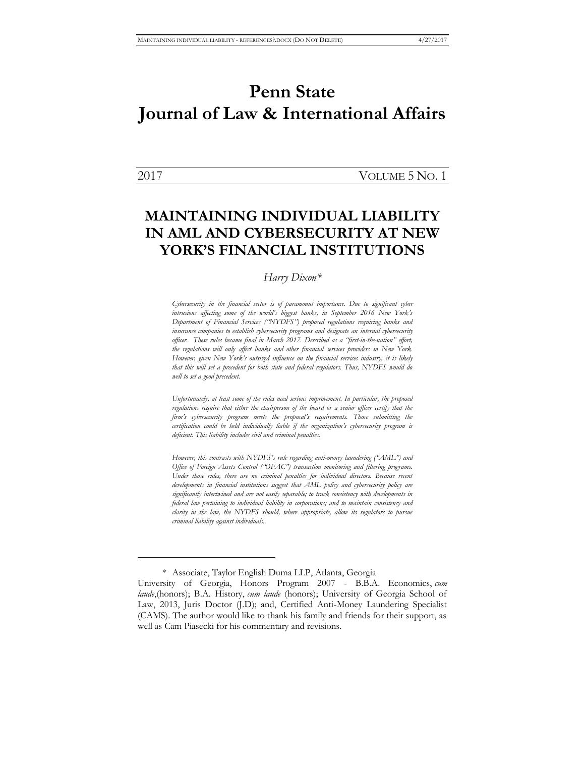$\overline{a}$ 

2017 VOLUME 5 NO. 1

### **MAINTAINING INDIVIDUAL LIABILITY IN AML AND CYBERSECURITY AT NEW YORK'S FINANCIAL INSTITUTIONS**

#### *Harry Dixon\**

*Cybersecurity in the financial sector is of paramount importance. Due to significant cyber intrusions affecting some of the world's biggest banks, in September 2016 New York's Department of Financial Services ("NYDFS") proposed regulations requiring banks and insurance companies to establish cybersecurity programs and designate an internal cybersecurity officer. These rules became final in March 2017. Described as a "first-in-the-nation" effort, the regulations will only affect banks and other financial services providers in New York. However, given New York's outsized influence on the financial services industry, it is likely that this will set a precedent for both state and federal regulators. Thus, NYDFS would do well to set a good precedent.*

*Unfortunately, at least some of the rules need serious improvement. In particular, the proposed regulations require that either the chairperson of the board or a senior officer certify that the firm's cybersecurity program meets the proposal's requirements. Those submitting the certification could be held individually liable if the organization's cybersecurity program is deficient. This liability includes civil and criminal penalties.* 

*However, this contrasts with NYDFS's rule regarding anti-money laundering ("AML") and Office of Foreign Assets Control ("OFAC") transaction monitoring and filtering programs. Under those rules, there are no criminal penalties for individual directors. Because recent developments in financial institutions suggest that AML policy and cybersecurity policy are significantly intertwined and are not easily separable; to track consistency with developments in federal law pertaining to individual liability in corporations; and to maintain consistency and clarity in the law, the NYDFS should, where appropriate, allow its regulators to pursue criminal liability against individuals.*

<sup>\*</sup> Associate, Taylor English Duma LLP, Atlanta, Georgia

University of Georgia, Honors Program 2007 - B.B.A. Economics, *cum laude*,(honors); B.A. History, *cum laude* (honors); University of Georgia School of Law, 2013, Juris Doctor (J.D); and, Certified Anti-Money Laundering Specialist (CAMS). The author would like to thank his family and friends for their support, as well as Cam Piasecki for his commentary and revisions.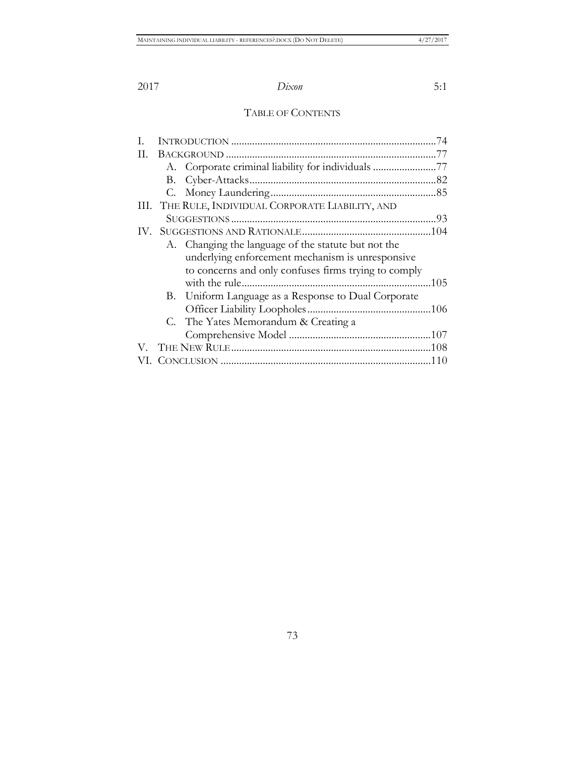### TABLE OF CONTENTS

| Н. |                                                    |                                                      |  |
|----|----------------------------------------------------|------------------------------------------------------|--|
|    |                                                    | A. Corporate criminal liability for individuals 77   |  |
|    |                                                    |                                                      |  |
|    |                                                    |                                                      |  |
|    | III. THE RULE, INDIVIDUAL CORPORATE LIABILITY, AND |                                                      |  |
|    |                                                    |                                                      |  |
|    |                                                    |                                                      |  |
|    |                                                    | A. Changing the language of the statute but not the  |  |
|    |                                                    | underlying enforcement mechanism is unresponsive     |  |
|    |                                                    | to concerns and only confuses firms trying to comply |  |
|    |                                                    |                                                      |  |
|    |                                                    | B. Uniform Language as a Response to Dual Corporate  |  |
|    |                                                    |                                                      |  |
|    |                                                    | C. The Yates Memorandum & Creating a                 |  |
|    |                                                    |                                                      |  |
|    |                                                    |                                                      |  |
|    |                                                    |                                                      |  |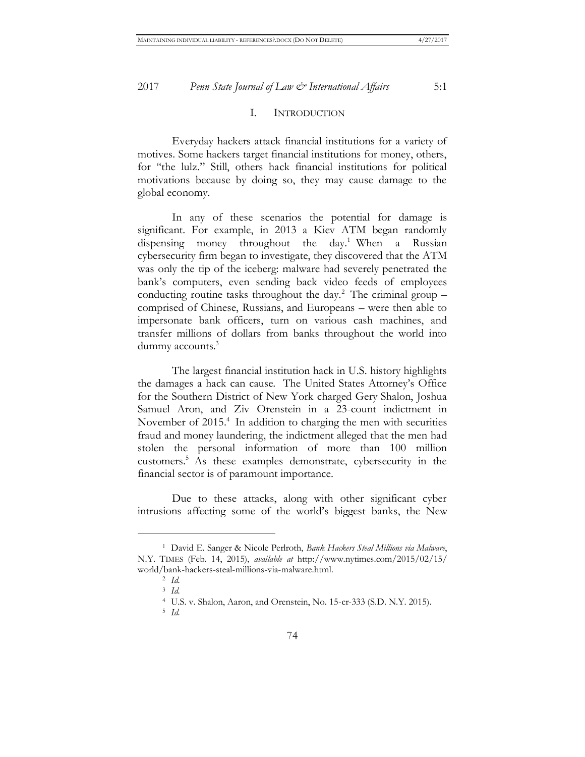#### I. INTRODUCTION

Everyday hackers attack financial institutions for a variety of motives. Some hackers target financial institutions for money, others, for "the lulz." Still, others hack financial institutions for political motivations because by doing so, they may cause damage to the global economy.

In any of these scenarios the potential for damage is significant. For example, in 2013 a Kiev ATM began randomly dispensing money throughout the day.<sup>1</sup> When a Russian cybersecurity firm began to investigate, they discovered that the ATM was only the tip of the iceberg: malware had severely penetrated the bank's computers, even sending back video feeds of employees conducting routine tasks throughout the day.<sup>2</sup> The criminal group  $$ comprised of Chinese, Russians, and Europeans – were then able to impersonate bank officers, turn on various cash machines, and transfer millions of dollars from banks throughout the world into dummy accounts.<sup>3</sup>

The largest financial institution hack in U.S. history highlights the damages a hack can cause. The United States Attorney's Office for the Southern District of New York charged Gery Shalon, Joshua Samuel Aron, and Ziv Orenstein in a 23-count indictment in November of 2015.<sup>4</sup> In addition to charging the men with securities fraud and money laundering, the indictment alleged that the men had stolen the personal information of more than 100 million customers.<sup>5</sup> As these examples demonstrate, cybersecurity in the financial sector is of paramount importance.

Due to these attacks, along with other significant cyber intrusions affecting some of the world's biggest banks, the New

 $\overline{a}$ 

5 *Id.*

<sup>1</sup> David E. Sanger & Nicole Perlroth, *Bank Hackers Steal Millions via Malware*, N.Y. TIMES (Feb. 14, 2015), *available at* http://www.nytimes.com/2015/02/15/ world/bank-hackers-steal-millions-via-malware.html.

<sup>2</sup> *Id.*

<sup>3</sup> *Id.*

<sup>4</sup> U.S. v. Shalon, Aaron, and Orenstein, No. 15-cr-333 (S.D. N.Y. 2015).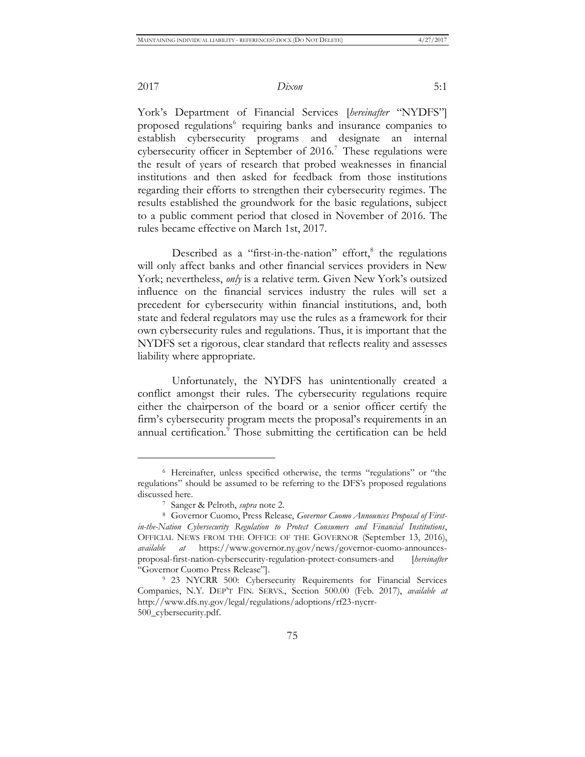$\overline{a}$ 

2017 *Dixon* 5:1

York's Department of Financial Services [*hereinafter* "NYDFS"] proposed regulations<sup>6</sup> requiring banks and insurance companies to establish cybersecurity programs and designate an internal cybersecurity officer in September of  $2016$ .<sup>7</sup> These regulations were the result of years of research that probed weaknesses in financial institutions and then asked for feedback from those institutions regarding their efforts to strengthen their cybersecurity regimes. The results established the groundwork for the basic regulations, subject to a public comment period that closed in November of 2016. The rules became effective on March 1st, 2017.

Described as a "first-in-the-nation" effort, $8$  the regulations will only affect banks and other financial services providers in New York; nevertheless, *only* is a relative term. Given New York's outsized influence on the financial services industry the rules will set a precedent for cybersecurity within financial institutions, and, both state and federal regulators may use the rules as a framework for their own cybersecurity rules and regulations. Thus, it is important that the NYDFS set a rigorous, clear standard that reflects reality and assesses liability where appropriate.

Unfortunately, the NYDFS has unintentionally created a conflict amongst their rules. The cybersecurity regulations require either the chairperson of the board or a senior officer certify the firm's cybersecurity program meets the proposal's requirements in an annual certification.<sup>9</sup> Those submitting the certification can be held

<sup>6</sup> Hereinafter, unless specified otherwise, the terms "regulations" or "the regulations" should be assumed to be referring to the DFS's proposed regulations discussed here.

<sup>7</sup> Sanger & Pelroth, *supra* note 2.

<sup>8</sup> Governor Cuomo, Press Release, *Governor Cuomo Announces Proposal of Firstin-the-Nation Cybersecurity Regulation to Protect Consumers and Financial Institutions*, OFFICIAL NEWS FROM THE OFFICE OF THE GOVERNOR (September 13, 2016), *available at* https://www.governor.ny.gov/news/governor-cuomo-announcesproposal-first-nation-cybersecurity-regulation-protect-consumers-and [*hereinafter* "Governor Cuomo Press Release"].

<sup>9</sup> 23 NYCRR 500: Cybersecurity Requirements for Financial Services Companies, N.Y. DEP'T FIN. SERVS., Section 500.00 (Feb. 2017), *available at* http://www.dfs.ny.gov/legal/regulations/adoptions/rf23-nycrr-500\_cybersecurity.pdf.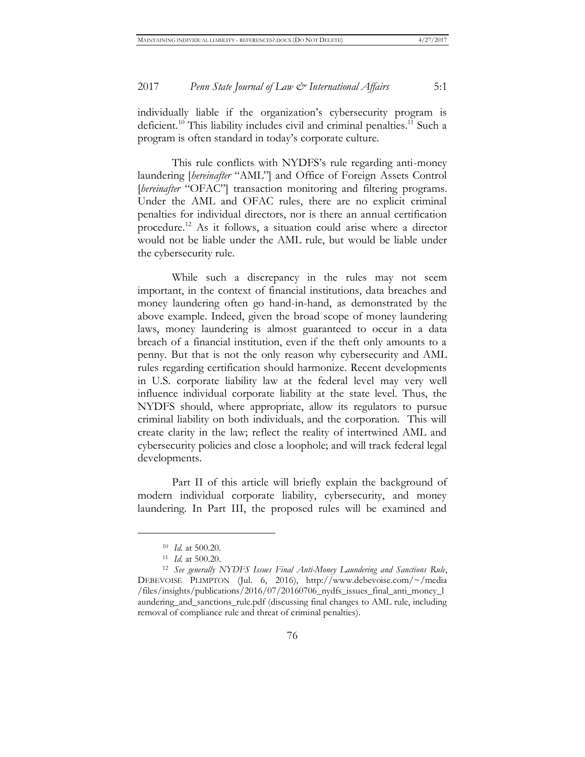individually liable if the organization's cybersecurity program is deficient.<sup>10</sup> This liability includes civil and criminal penalties.<sup>11</sup> Such a program is often standard in today's corporate culture.

This rule conflicts with NYDFS's rule regarding anti-money laundering [*hereinafter* "AML"] and Office of Foreign Assets Control [*hereinafter* "OFAC"] transaction monitoring and filtering programs. Under the AML and OFAC rules, there are no explicit criminal penalties for individual directors, nor is there an annual certification procedure.<sup>12</sup> As it follows, a situation could arise where a director would not be liable under the AML rule, but would be liable under the cybersecurity rule.

While such a discrepancy in the rules may not seem important, in the context of financial institutions, data breaches and money laundering often go hand-in-hand, as demonstrated by the above example. Indeed, given the broad scope of money laundering laws, money laundering is almost guaranteed to occur in a data breach of a financial institution, even if the theft only amounts to a penny. But that is not the only reason why cybersecurity and AML rules regarding certification should harmonize. Recent developments in U.S. corporate liability law at the federal level may very well influence individual corporate liability at the state level. Thus, the NYDFS should, where appropriate, allow its regulators to pursue criminal liability on both individuals, and the corporation. This will create clarity in the law; reflect the reality of intertwined AML and cybersecurity policies and close a loophole; and will track federal legal developments.

Part II of this article will briefly explain the background of modern individual corporate liability, cybersecurity, and money laundering. In Part III, the proposed rules will be examined and

<sup>10</sup> *Id.* at 500.20.

<sup>11</sup> *Id.* at 500.20.

<sup>12</sup> *See generally NYDFS Issues Final Anti-Money Laundering and Sanctions Rule*, DEBEVOISE PLIMPTON (Jul. 6, 2016), http://www.debevoise.com/~/media /files/insights/publications/2016/07/20160706\_nydfs\_issues\_final\_anti\_money\_l aundering\_and\_sanctions\_rule.pdf (discussing final changes to AML rule, including removal of compliance rule and threat of criminal penalties).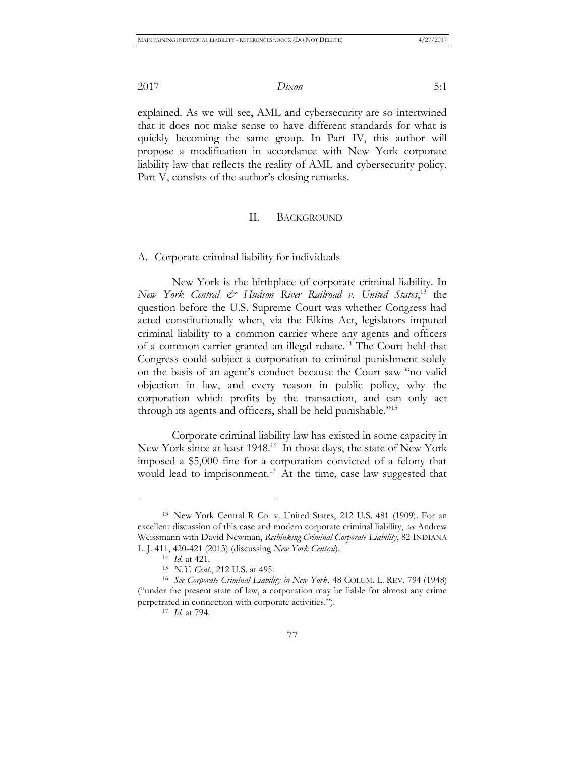explained. As we will see, AML and cybersecurity are so intertwined that it does not make sense to have different standards for what is quickly becoming the same group. In Part IV, this author will propose a modification in accordance with New York corporate liability law that reflects the reality of AML and cybersecurity policy. Part V, consists of the author's closing remarks.

#### II. BACKGROUND

A. Corporate criminal liability for individuals

New York is the birthplace of corporate criminal liability. In *New York Central & Hudson River Railroad v. United States*, <sup>13</sup> the question before the U.S. Supreme Court was whether Congress had acted constitutionally when, via the Elkins Act, legislators imputed criminal liability to a common carrier where any agents and officers of a common carrier granted an illegal rebate.<sup>14</sup> The Court held-that Congress could subject a corporation to criminal punishment solely on the basis of an agent's conduct because the Court saw "no valid objection in law, and every reason in public policy, why the corporation which profits by the transaction, and can only act through its agents and officers, shall be held punishable."<sup>15</sup>

Corporate criminal liability law has existed in some capacity in New York since at least 1948.<sup>16</sup> In those days, the state of New York imposed a \$5,000 fine for a corporation convicted of a felony that would lead to imprisonment.<sup>17</sup> At the time, case law suggested that

<sup>13</sup> New York Central R Co. v. United States, 212 U.S. 481 (1909). For an excellent discussion of this case and modern corporate criminal liability, *see* Andrew Weissmann with David Newman, *Rethinking Criminal Corporate Liability*, 82 INDIANA L. J. 411, 420-421 (2013) (discussing *New York Central*).

<sup>14</sup> *Id.* at 421.

<sup>15</sup> *N.Y. Cent.*, 212 U.S. at 495.

<sup>16</sup> *See Corporate Criminal Liability in New York*, 48 COLUM. L. REV. 794 (1948) ("under the present state of law, a corporation may be liable for almost any crime perpetrated in connection with corporate activities.").

<sup>17</sup> *Id.* at 794.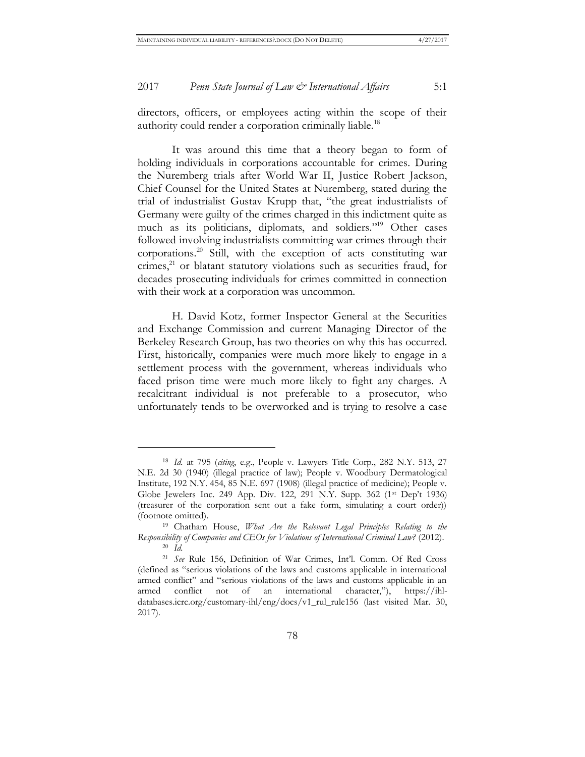directors, officers, or employees acting within the scope of their authority could render a corporation criminally liable.<sup>18</sup>

It was around this time that a theory began to form of holding individuals in corporations accountable for crimes. During the Nuremberg trials after World War II, Justice Robert Jackson, Chief Counsel for the United States at Nuremberg, stated during the trial of industrialist Gustav Krupp that, "the great industrialists of Germany were guilty of the crimes charged in this indictment quite as much as its politicians, diplomats, and soldiers."<sup>19</sup> Other cases followed involving industrialists committing war crimes through their corporations.<sup>20</sup> Still, with the exception of acts constituting war crimes, $21$  or blatant statutory violations such as securities fraud, for decades prosecuting individuals for crimes committed in connection with their work at a corporation was uncommon.

H. David Kotz, former Inspector General at the Securities and Exchange Commission and current Managing Director of the Berkeley Research Group, has two theories on why this has occurred. First, historically, companies were much more likely to engage in a settlement process with the government, whereas individuals who faced prison time were much more likely to fight any charges. A recalcitrant individual is not preferable to a prosecutor, who unfortunately tends to be overworked and is trying to resolve a case

<sup>18</sup> *Id.* at 795 (*citing*, e.g., People v. Lawyers Title Corp., 282 N.Y. 513, 27 N.E. 2d 30 (1940) (illegal practice of law); People v. Woodbury Dermatological Institute, 192 N.Y. 454, 85 N.E. 697 (1908) (illegal practice of medicine); People v. Globe Jewelers Inc. 249 App. Div. 122, 291 N.Y. Supp. 362 (1<sup>st</sup> Dep't 1936) (treasurer of the corporation sent out a fake form, simulating a court order)) (footnote omitted).

<sup>19</sup> Chatham House, *What Are the Relevant Legal Principles Relating to the Responsibility of Companies and CEOs for Violations of International Criminal Law?* (2012). <sup>20</sup> *Id.*

<sup>21</sup> *See* Rule 156, Definition of War Crimes, Int'l. Comm. Of Red Cross (defined as "serious violations of the laws and customs applicable in international armed conflict" and "serious violations of the laws and customs applicable in an armed conflict not of an international character,"), https://ihldatabases.icrc.org/customary-ihl/eng/docs/v1\_rul\_rule156 (last visited Mar. 30, 2017).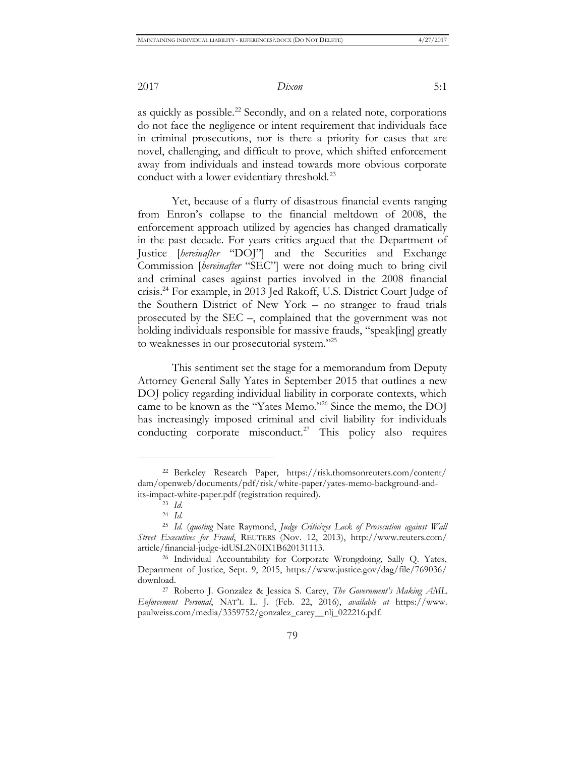as quickly as possible.<sup>22</sup> Secondly, and on a related note, corporations do not face the negligence or intent requirement that individuals face in criminal prosecutions, nor is there a priority for cases that are novel, challenging, and difficult to prove, which shifted enforcement away from individuals and instead towards more obvious corporate conduct with a lower evidentiary threshold.<sup>23</sup>

Yet, because of a flurry of disastrous financial events ranging from Enron's collapse to the financial meltdown of 2008, the enforcement approach utilized by agencies has changed dramatically in the past decade. For years critics argued that the Department of Justice [*hereinafter* "DOJ"] and the Securities and Exchange Commission [*hereinafter* "SEC"] were not doing much to bring civil and criminal cases against parties involved in the 2008 financial crisis.<sup>24</sup> For example, in 2013 Jed Rakoff, U.S. District Court Judge of the Southern District of New York – no stranger to fraud trials prosecuted by the SEC –, complained that the government was not holding individuals responsible for massive frauds, "speak[ing] greatly to weaknesses in our prosecutorial system."<sup>25</sup>

This sentiment set the stage for a memorandum from Deputy Attorney General Sally Yates in September 2015 that outlines a new DOJ policy regarding individual liability in corporate contexts, which came to be known as the "Yates Memo."<sup>26</sup> Since the memo, the DOJ has increasingly imposed criminal and civil liability for individuals conducting corporate misconduct.<sup>27</sup> This policy also requires

<sup>22</sup> Berkeley Research Paper, https://risk.thomsonreuters.com/content/ dam/openweb/documents/pdf/risk/white-paper/yates-memo-background-andits-impact-white-paper.pdf (registration required).

<sup>23</sup> *Id.*

<sup>24</sup> *Id*.

<sup>25</sup> *Id.* (*quoting* Nate Raymond, *Judge Criticizes Lack of Prosecution against Wall Street Executives for Fraud*, REUTERS (Nov. 12, 2013), http://www.reuters.com/ article/financial-judge-idUSL2N0IX1B620131113.

<sup>&</sup>lt;sup>26</sup> Individual Accountability for Corporate Wrongdoing, Sally Q. Yates, Department of Justice, Sept. 9, 2015, https://www.justice.gov/dag/file/769036/ download.

<sup>27</sup> Roberto J. Gonzalez & Jessica S. Carey, *The Government's Making AML Enforcement Personal*, NAT'L L. J. (Feb. 22, 2016), *available at* https://www. paulweiss.com/media/3359752/gonzalez\_carey\_\_nlj\_022216.pdf.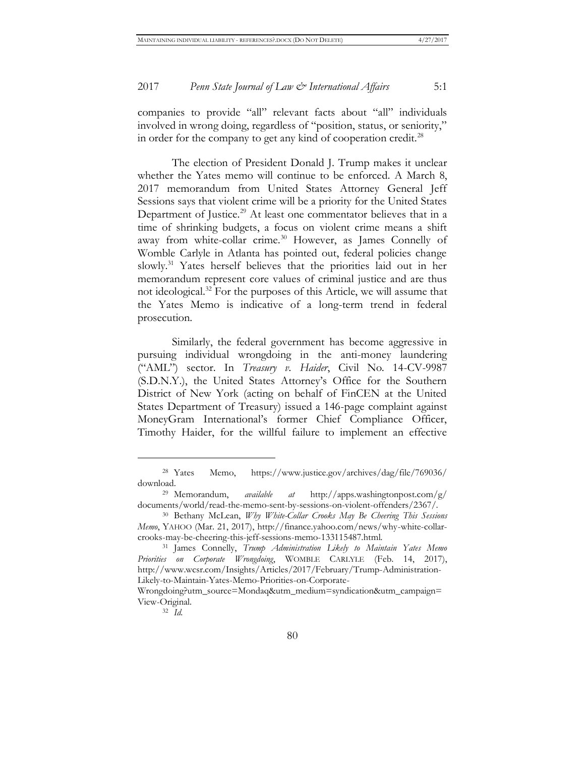companies to provide "all" relevant facts about "all" individuals involved in wrong doing, regardless of "position, status, or seniority," in order for the company to get any kind of cooperation credit.<sup>28</sup>

The election of President Donald J. Trump makes it unclear whether the Yates memo will continue to be enforced. A March 8, 2017 memorandum from United States Attorney General Jeff Sessions says that violent crime will be a priority for the United States Department of Justice.<sup>29</sup> At least one commentator believes that in a time of shrinking budgets, a focus on violent crime means a shift away from white-collar crime.<sup>30</sup> However, as James Connelly of Womble Carlyle in Atlanta has pointed out, federal policies change slowly.<sup>31</sup> Yates herself believes that the priorities laid out in her memorandum represent core values of criminal justice and are thus not ideological.<sup>32</sup> For the purposes of this Article, we will assume that the Yates Memo is indicative of a long-term trend in federal prosecution.

Similarly, the federal government has become aggressive in pursuing individual wrongdoing in the anti-money laundering ("AML") sector. In *Treasury v. Haider*, Civil No. 14-CV-9987 (S.D.N.Y.), the United States Attorney's Office for the Southern District of New York (acting on behalf of FinCEN at the United States Department of Treasury) issued a 146-page complaint against MoneyGram International's former Chief Compliance Officer, Timothy Haider, for the willful failure to implement an effective

<sup>28</sup> Yates Memo, https://www.justice.gov/archives/dag/file/769036/ download.

<sup>29</sup> Memorandum, *available at* http://apps.washingtonpost.com/g/ documents/world/read-the-memo-sent-by-sessions-on-violent-offenders/2367/.

<sup>30</sup> Bethany McLean, *Why White-Collar Crooks May Be Cheering This Sessions Memo*, YAHOO (Mar. 21, 2017), http://finance.yahoo.com/news/why-white-collarcrooks-may-be-cheering-this-jeff-sessions-memo-133115487.html.

<sup>31</sup> James Connelly, *Trump Administration Likely to Maintain Yates Memo Priorities on Corporate Wrongdoing*, WOMBLE CARLYLE (Feb. 14, 2017), http://www.wcsr.com/Insights/Articles/2017/February/Trump-Administration-Likely-to-Maintain-Yates-Memo-Priorities-on-Corporate-

Wrongdoing?utm\_source=Mondaq&utm\_medium=syndication&utm\_campaign= View-Original.

<sup>32</sup> *Id.*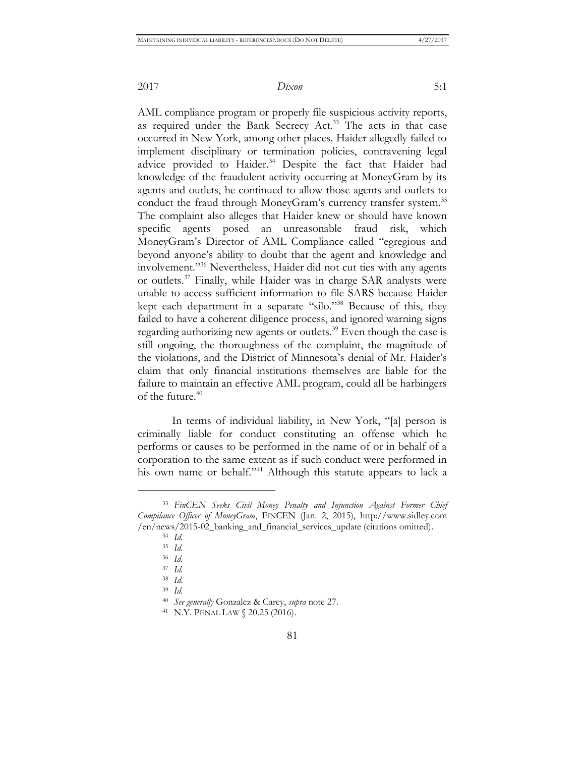AML compliance program or properly file suspicious activity reports, as required under the Bank Secrecy Act.<sup>33</sup> The acts in that case occurred in New York, among other places. Haider allegedly failed to implement disciplinary or termination policies, contravening legal advice provided to Haider.<sup>34</sup> Despite the fact that Haider had knowledge of the fraudulent activity occurring at MoneyGram by its agents and outlets, he continued to allow those agents and outlets to conduct the fraud through MoneyGram's currency transfer system.<sup>35</sup> The complaint also alleges that Haider knew or should have known specific agents posed an unreasonable fraud risk, which MoneyGram's Director of AML Compliance called "egregious and beyond anyone's ability to doubt that the agent and knowledge and involvement."<sup>36</sup> Nevertheless, Haider did not cut ties with any agents or outlets.<sup>37</sup> Finally, while Haider was in charge SAR analysts were unable to access sufficient information to file SARS because Haider kept each department in a separate "silo."<sup>38</sup> Because of this, they failed to have a coherent diligence process, and ignored warning signs regarding authorizing new agents or outlets.<sup>39</sup> Even though the case is still ongoing, the thoroughness of the complaint, the magnitude of the violations, and the District of Minnesota's denial of Mr. Haider's claim that only financial institutions themselves are liable for the failure to maintain an effective AML program, could all be harbingers of the future.<sup>40</sup>

In terms of individual liability, in New York, "[a] person is criminally liable for conduct constituting an offense which he performs or causes to be performed in the name of or in behalf of a corporation to the same extent as if such conduct were performed in his own name or behalf."<sup>41</sup> Although this statute appears to lack a

<sup>33</sup> *FinCEN Seeks Civil Money Penalty and Injunction Against Former Chief Compilance Officer of MoneyGram*, FINCEN (Jan. 2, 2015), http://www.sidley.com /en/news/2015-02\_banking\_and\_financial\_services\_update (citations omitted).

<sup>34</sup> *Id.*

<sup>35</sup> *Id.*

<sup>36</sup> *Id.*

<sup>37</sup> *Id.*

<sup>38</sup> *Id*.

<sup>39</sup> *Id.*

<sup>40</sup> *See generally* Gonzalez & Carey, *supra* note 27.

<sup>41</sup> N.Y. PENAL LAW § 20.25 (2016).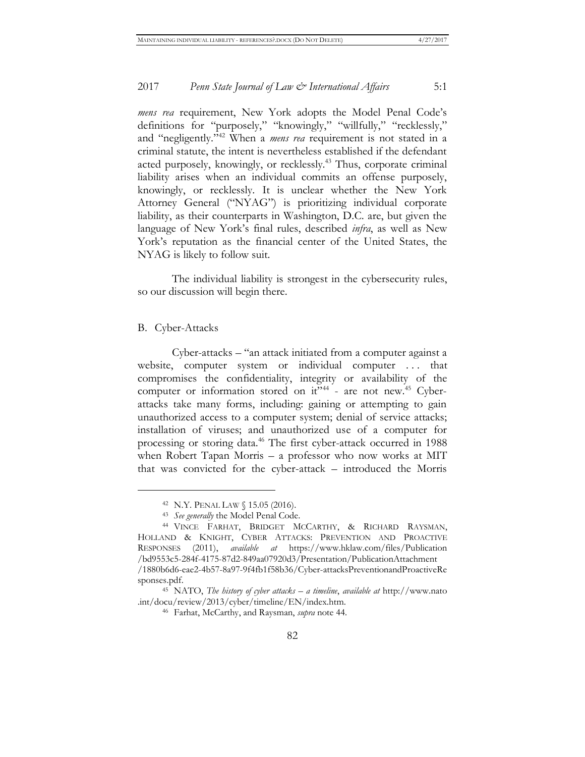*mens rea* requirement, New York adopts the Model Penal Code's definitions for "purposely," "knowingly," "willfully," "recklessly," and "negligently."<sup>42</sup> When a *mens rea* requirement is not stated in a criminal statute, the intent is nevertheless established if the defendant acted purposely, knowingly, or recklessly.<sup>43</sup> Thus, corporate criminal liability arises when an individual commits an offense purposely, knowingly, or recklessly. It is unclear whether the New York Attorney General ("NYAG") is prioritizing individual corporate liability, as their counterparts in Washington, D.C. are, but given the language of New York's final rules, described *infra*, as well as New York's reputation as the financial center of the United States, the NYAG is likely to follow suit.

The individual liability is strongest in the cybersecurity rules, so our discussion will begin there.

#### B. Cyber-Attacks

 $\overline{a}$ 

Cyber-attacks – "an attack initiated from a computer against a website, computer system or individual computer . . . that compromises the confidentiality, integrity or availability of the computer or information stored on it"<sup>44</sup> - are not new.<sup>45</sup> Cyberattacks take many forms, including: gaining or attempting to gain unauthorized access to a computer system; denial of service attacks; installation of viruses; and unauthorized use of a computer for processing or storing data.<sup>46</sup> The first cyber-attack occurred in 1988 when Robert Tapan Morris – a professor who now works at MIT that was convicted for the cyber-attack – introduced the Morris

<sup>42</sup> N.Y. PENAL LAW § 15.05 (2016).

<sup>43</sup> *See generally* the Model Penal Code.

<sup>44</sup> VINCE FARHAT, BRIDGET MCCARTHY, & RICHARD RAYSMAN, HOLLAND & KNIGHT, CYBER ATTACKS: PREVENTION AND PROACTIVE RESPONSES (2011), *available at* https://www.hklaw.com/files/Publication /bd9553c5-284f-4175-87d2-849aa07920d3/Presentation/PublicationAttachment /1880b6d6-eae2-4b57-8a97-9f4fb1f58b36/Cyber-attacksPreventionandProactiveRe sponses.pdf.

<sup>45</sup> NATO, *The history of cyber attacks – a timeline*, *available at* http://www.nato .int/docu/review/2013/cyber/timeline/EN/index.htm.

<sup>46</sup> Farhat, McCarthy, and Raysman, *supra* note 44*.*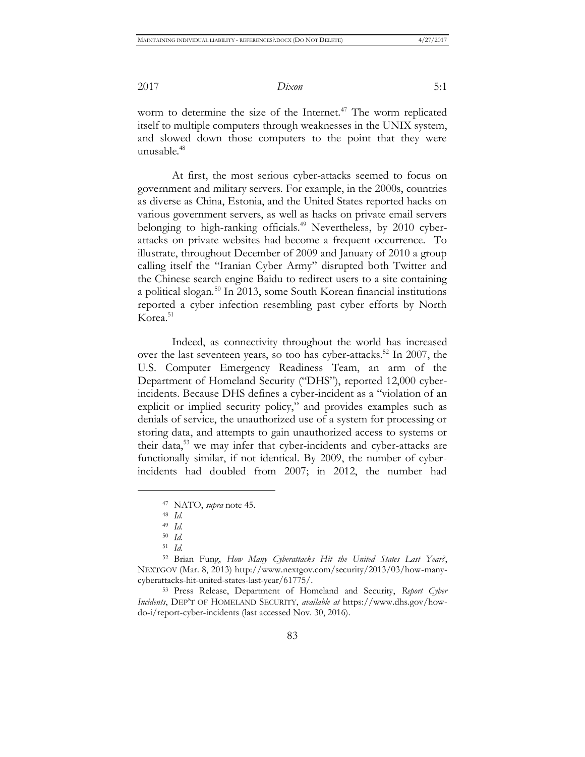worm to determine the size of the Internet.<sup>47</sup> The worm replicated itself to multiple computers through weaknesses in the UNIX system, and slowed down those computers to the point that they were unusable.<sup>48</sup>

At first, the most serious cyber-attacks seemed to focus on government and military servers. For example, in the 2000s, countries as diverse as China, Estonia, and the United States reported hacks on various government servers, as well as hacks on private email servers belonging to high-ranking officials.<sup>49</sup> Nevertheless, by 2010 cyberattacks on private websites had become a frequent occurrence. To illustrate, throughout December of 2009 and January of 2010 a group calling itself the "Iranian Cyber Army" disrupted both Twitter and the Chinese search engine Baidu to redirect users to a site containing a political slogan.<sup>50</sup> In 2013, some South Korean financial institutions reported a cyber infection resembling past cyber efforts by North Korea.<sup>51</sup>

Indeed, as connectivity throughout the world has increased over the last seventeen years, so too has cyber-attacks.<sup>52</sup> In 2007, the U.S. Computer Emergency Readiness Team, an arm of the Department of Homeland Security ("DHS"), reported 12,000 cyberincidents. Because DHS defines a cyber-incident as a "violation of an explicit or implied security policy," and provides examples such as denials of service, the unauthorized use of a system for processing or storing data, and attempts to gain unauthorized access to systems or their data,<sup>53</sup> we may infer that cyber-incidents and cyber-attacks are functionally similar, if not identical. By 2009, the number of cyberincidents had doubled from 2007; in 2012, the number had

 $\overline{a}$ 

<sup>52</sup> Brian Fung, *How Many Cyberattacks Hit the United States Last Year?*, NEXTGOV (Mar. 8, 2013) [http://www.nextgov.com/security/2013/03/how-many](http://www.nextgov.com/security/2013/03/how-many-cyberattacks-hit-united-states-last-year/61775/)[cyberattacks-hit-united-states-last-year/61775/.](http://www.nextgov.com/security/2013/03/how-many-cyberattacks-hit-united-states-last-year/61775/)

<sup>53</sup> Press Release, Department of Homeland and Security, *Report Cyber Incidents*, DEP'T OF HOMELAND SECURITY, *available at* https://www.dhs.gov/howdo-i/report-cyber-incidents (last accessed Nov. 30, 2016).

<sup>47</sup> NATO, *supra* note 45.

<sup>48</sup> *Id.*

<sup>49</sup> *Id.*

<sup>50</sup> *Id.*

<sup>51</sup> *Id.*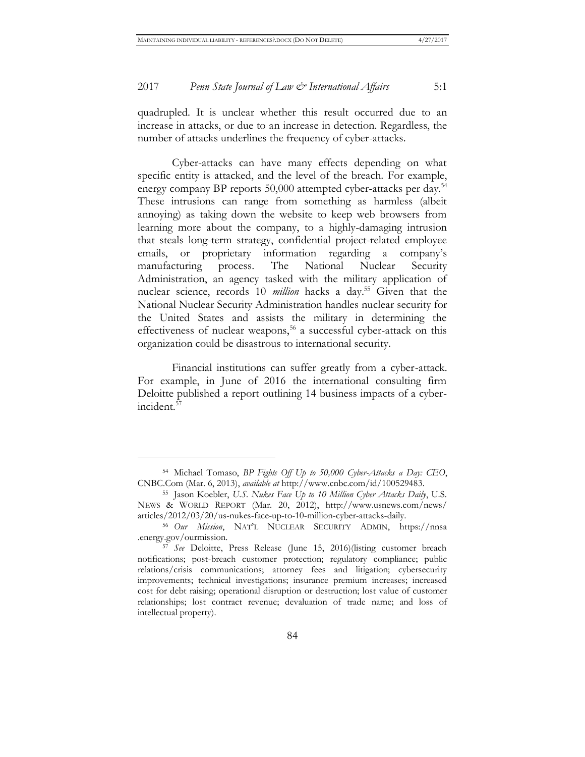quadrupled. It is unclear whether this result occurred due to an increase in attacks, or due to an increase in detection. Regardless, the number of attacks underlines the frequency of cyber-attacks.

Cyber-attacks can have many effects depending on what specific entity is attacked, and the level of the breach. For example, energy company BP reports 50,000 attempted cyber-attacks per day.<sup>54</sup> These intrusions can range from something as harmless (albeit annoying) as taking down the website to keep web browsers from learning more about the company, to a highly-damaging intrusion that steals long-term strategy, confidential project-related employee emails, or proprietary information regarding a company's manufacturing process. The National Nuclear Security Administration, an agency tasked with the military application of nuclear science, records 10 *million* hacks a day.<sup>55</sup> Given that the National Nuclear Security Administration handles nuclear security for the United States and assists the military in determining the effectiveness of nuclear weapons,<sup>56</sup> a successful cyber-attack on this organization could be disastrous to international security.

Financial institutions can suffer greatly from a cyber-attack. For example, in June of 2016 the international consulting firm Deloitte published a report outlining 14 business impacts of a cyberincident.<sup>57</sup>

<sup>54</sup> Michael Tomaso, *BP Fights Off Up to 50,000 Cyber-Attacks a Day: CEO*, CNBC.Com (Mar. 6, 2013), *available at* http://www.cnbc.com/id/100529483.

<sup>55</sup> Jason Koebler, *U.S. Nukes Face Up to 10 Million Cyber Attacks Daily*, U.S. NEWS & WORLD REPORT (Mar. 20, 2012), http://www.usnews.com/news/ articles/2012/03/20/us-nukes-face-up-to-10-million-cyber-attacks-daily.

<sup>56</sup> *Our Mission*, NAT'L NUCLEAR SECURITY ADMIN, https://nnsa .energy.gov/ourmission.

<sup>57</sup> *See* Deloitte, Press Release (June 15, 2016)(listing customer breach notifications; post-breach customer protection; regulatory compliance; public relations/crisis communications; attorney fees and litigation; cybersecurity improvements; technical investigations; insurance premium increases; increased cost for debt raising; operational disruption or destruction; lost value of customer relationships; lost contract revenue; devaluation of trade name; and loss of intellectual property).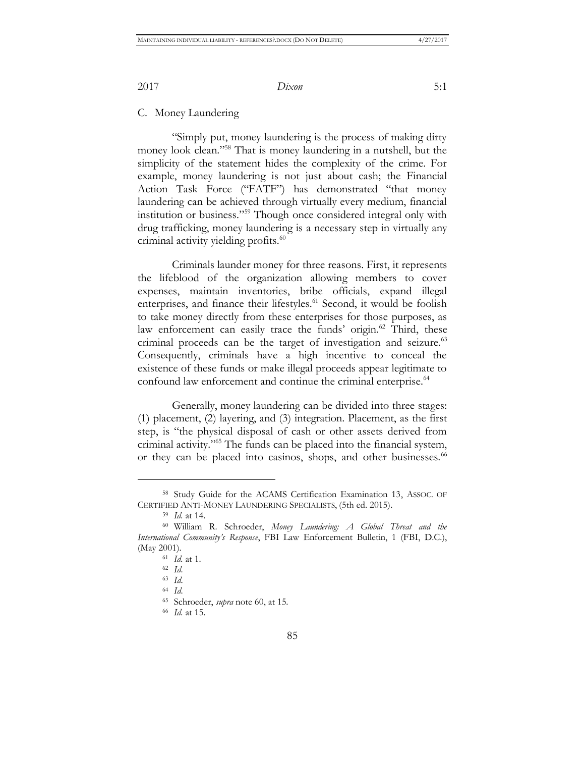C. Money Laundering

"Simply put, money laundering is the process of making dirty money look clean."<sup>58</sup> That is money laundering in a nutshell, but the simplicity of the statement hides the complexity of the crime. For example, money laundering is not just about cash; the Financial Action Task Force ("FATF") has demonstrated "that money laundering can be achieved through virtually every medium, financial institution or business."<sup>59</sup> Though once considered integral only with drug trafficking, money laundering is a necessary step in virtually any criminal activity yielding profits.<sup>60</sup>

Criminals launder money for three reasons. First, it represents the lifeblood of the organization allowing members to cover expenses, maintain inventories, bribe officials, expand illegal enterprises, and finance their lifestyles.<sup>61</sup> Second, it would be foolish to take money directly from these enterprises for those purposes, as law enforcement can easily trace the funds' origin.<sup>62</sup> Third, these criminal proceeds can be the target of investigation and seizure.<sup>63</sup> Consequently, criminals have a high incentive to conceal the existence of these funds or make illegal proceeds appear legitimate to confound law enforcement and continue the criminal enterprise.<sup>64</sup>

Generally, money laundering can be divided into three stages: (1) placement, (2) layering, and (3) integration. Placement, as the first step, is "the physical disposal of cash or other assets derived from criminal activity."<sup>65</sup> The funds can be placed into the financial system, or they can be placed into casinos, shops, and other businesses.<sup>66</sup>

<sup>58</sup> Study Guide for the ACAMS Certification Examination 13, ASSOC. OF CERTIFIED ANTI-MONEY LAUNDERING SPECIALISTS, (5th ed. 2015).

<sup>59</sup> *Id.* at 14.

<sup>60</sup> William R. Schroeder, *Money Laundering: A Global Threat and the International Community's Response*, FBI Law Enforcement Bulletin, 1 (FBI, D.C.), (May 2001).

<sup>61</sup> *Id.* at 1.

<sup>62</sup> *Id*.

<sup>63</sup> *Id*.

<sup>64</sup> *Id*.

<sup>65</sup> Schroeder, *supra* note 60, at 15.

<sup>66</sup> *Id.* at 15.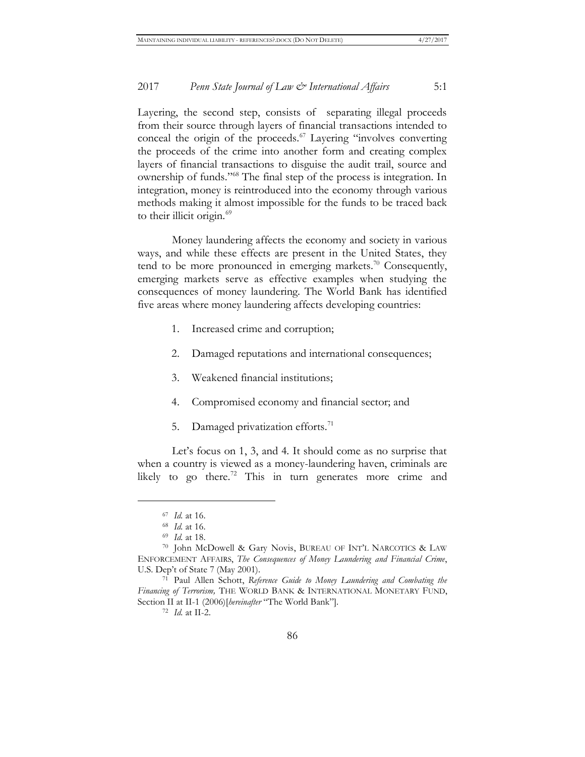Layering, the second step, consists of separating illegal proceeds from their source through layers of financial transactions intended to conceal the origin of the proceeds. $67$  Layering "involves converting the proceeds of the crime into another form and creating complex layers of financial transactions to disguise the audit trail, source and ownership of funds."<sup>68</sup> The final step of the process is integration. In integration, money is reintroduced into the economy through various methods making it almost impossible for the funds to be traced back to their illicit origin.<sup>69</sup>

Money laundering affects the economy and society in various ways, and while these effects are present in the United States, they tend to be more pronounced in emerging markets.<sup>70</sup> Consequently, emerging markets serve as effective examples when studying the consequences of money laundering. The World Bank has identified five areas where money laundering affects developing countries:

- 1. Increased crime and corruption;
- 2. Damaged reputations and international consequences;
- 3. Weakened financial institutions;
- 4. Compromised economy and financial sector; and
- 5. Damaged privatization efforts. $71$

Let's focus on 1, 3, and 4. It should come as no surprise that when a country is viewed as a money-laundering haven, criminals are likely to go there.<sup>72</sup> This in turn generates more crime and

<sup>67</sup> *Id.* at 16.

<sup>68</sup> *Id.* at 16.

<sup>69</sup> *Id.* at 18.

<sup>70</sup> John McDowell & Gary Novis, BUREAU OF INT'L NARCOTICS & LAW ENFORCEMENT AFFAIRS, *The Consequences of Money Laundering and Financial Crime*, U.S. Dep't of State 7 (May 2001).

<sup>71</sup> Paul Allen Schott, *Reference Guide to Money Laundering and Combating the Financing of Terrorism,* THE WORLD BANK & INTERNATIONAL MONETARY FUND, Section II at II-1 (2006)[*hereinafter* "The World Bank"].

<sup>72</sup> *Id.* at II-2.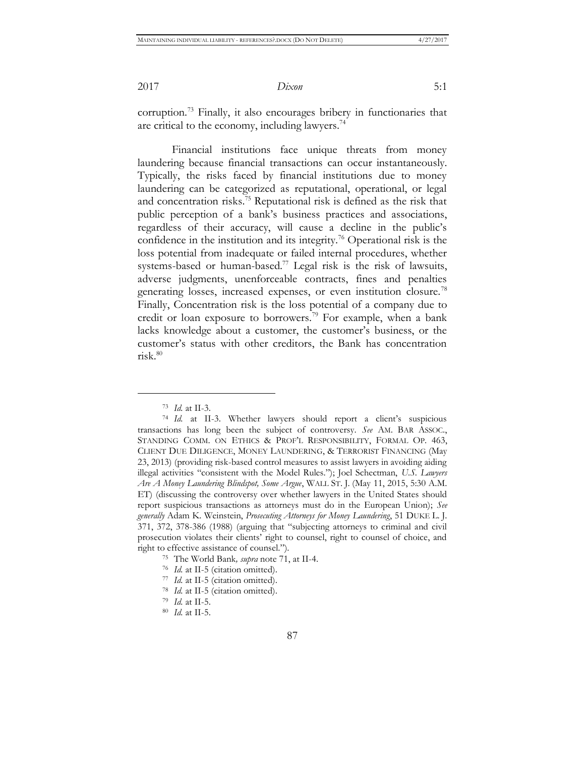corruption.<sup>73</sup> Finally, it also encourages bribery in functionaries that are critical to the economy, including lawyers.<sup>74</sup>

Financial institutions face unique threats from money laundering because financial transactions can occur instantaneously. Typically, the risks faced by financial institutions due to money laundering can be categorized as reputational, operational, or legal and concentration risks.<sup>75</sup> Reputational risk is defined as the risk that public perception of a bank's business practices and associations, regardless of their accuracy, will cause a decline in the public's confidence in the institution and its integrity.<sup>76</sup> Operational risk is the loss potential from inadequate or failed internal procedures, whether systems-based or human-based.<sup>77</sup> Legal risk is the risk of lawsuits, adverse judgments, unenforceable contracts, fines and penalties generating losses, increased expenses, or even institution closure.<sup>78</sup> Finally, Concentration risk is the loss potential of a company due to credit or loan exposure to borrowers.<sup>79</sup> For example, when a bank lacks knowledge about a customer, the customer's business, or the customer's status with other creditors, the Bank has concentration  $risk<sup>80</sup>$ 

<sup>73</sup> *Id.* at II-3.

<sup>74</sup> *Id.* at II-3. Whether lawyers should report a client's suspicious transactions has long been the subject of controversy. *See* AM. BAR ASSOC., STANDING COMM. ON ETHICS & PROF'L RESPONSIBILITY, FORMAL OP. 463, CLIENT DUE DILIGENCE, MONEY LAUNDERING, & TERRORIST FINANCING (May 23, 2013) (providing risk-based control measures to assist lawyers in avoiding aiding illegal activities "consistent with the Model Rules."); Joel Schectman, *U.S. Lawyers Are A Money Laundering Blindspot, Some Argue*, WALL ST. J. (May 11, 2015, 5:30 A.M. ET) (discussing the controversy over whether lawyers in the United States should report suspicious transactions as attorneys must do in the European Union); *See generally* Adam K. Weinstein, *Prosecuting Attorneys for Money Laundering*, 51 DUKE L. J. 371, 372, 378-386 (1988) (arguing that "subjecting attorneys to criminal and civil prosecution violates their clients' right to counsel, right to counsel of choice, and right to effective assistance of counsel.").

<sup>75</sup> The World Bank*, supra* note 71, at II-4.

<sup>76</sup> *Id.* at II-5 (citation omitted).

<sup>77</sup> *Id.* at II-5 (citation omitted).

<sup>78</sup> *Id.* at II-5 (citation omitted).

<sup>79</sup> *Id.* at II-5.

<sup>80</sup> *Id.* at II-5.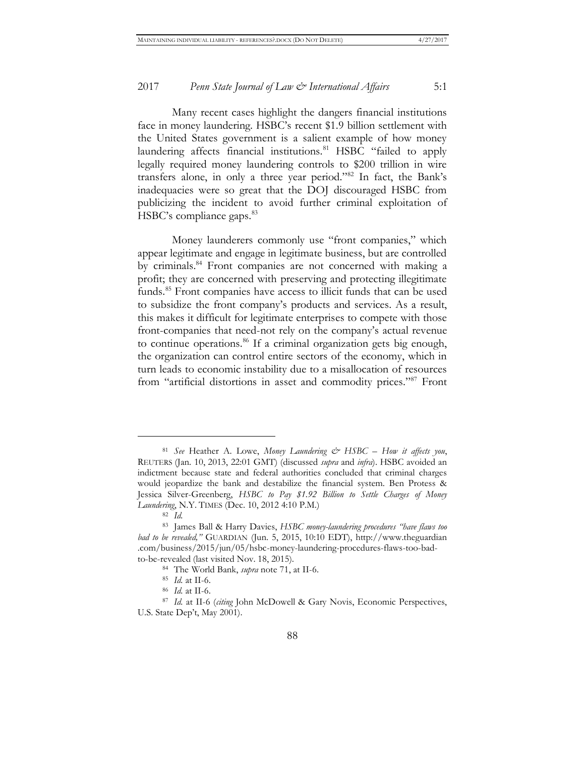Many recent cases highlight the dangers financial institutions face in money laundering. HSBC's recent \$1.9 billion settlement with the United States government is a salient example of how money laundering affects financial institutions.<sup>81</sup> HSBC "failed to apply legally required money laundering controls to \$200 trillion in wire transfers alone, in only a three year period."<sup>82</sup> In fact, the Bank's inadequacies were so great that the DOJ discouraged HSBC from publicizing the incident to avoid further criminal exploitation of HSBC's compliance gaps.<sup>83</sup>

Money launderers commonly use "front companies," which appear legitimate and engage in legitimate business, but are controlled by criminals.<sup>84</sup> Front companies are not concerned with making a profit; they are concerned with preserving and protecting illegitimate funds.<sup>85</sup> Front companies have access to illicit funds that can be used to subsidize the front company's products and services. As a result, this makes it difficult for legitimate enterprises to compete with those front-companies that need-not rely on the company's actual revenue to continue operations.<sup>86</sup> If a criminal organization gets big enough, the organization can control entire sectors of the economy, which in turn leads to economic instability due to a misallocation of resources from "artificial distortions in asset and commodity prices."<sup>87</sup> Front

<sup>81</sup> *See* Heather A. Lowe, *Money Laundering & HSBC – How it affects you*, REUTERS (Jan. 10, 2013, 22:01 GMT) (discussed *supra* and *infra*). HSBC avoided an indictment because state and federal authorities concluded that criminal charges would jeopardize the bank and destabilize the financial system. Ben Protess & Jessica Silver-Greenberg, *HSBC to Pay \$1.92 Billion to Settle Charges of Money Laundering*, N.Y. TIMES (Dec. 10, 2012 4:10 P.M.)

<sup>82</sup> *Id.*

<sup>83</sup> James Ball & Harry Davies, *HSBC money-laundering procedures "have flaws too bad to be revealed,"* GUARDIAN (Jun. 5, 2015, 10:10 EDT), http://www.theguardian .com/business/2015/jun/05/hsbc-money-laundering-procedures-flaws-too-badto-be-revealed (last visited Nov. 18, 2015).

<sup>84</sup> The World Bank, *supra* note 71, at II-6.

<sup>85</sup> *Id.* at II-6.

<sup>86</sup> *Id.* at II-6.

<sup>87</sup> *Id.* at II-6 (*citing* John McDowell & Gary Novis, Economic Perspectives, U.S. State Dep't, May 2001).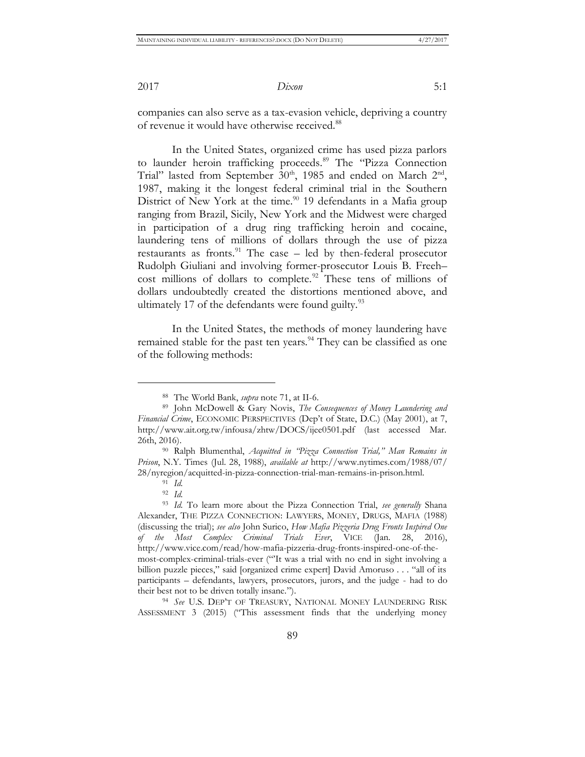companies can also serve as a tax-evasion vehicle, depriving a country of revenue it would have otherwise received.<sup>88</sup>

In the United States, organized crime has used pizza parlors to launder heroin trafficking proceeds.<sup>89</sup> The "Pizza Connection Trial" lasted from September  $30<sup>th</sup>$ , 1985 and ended on March  $2<sup>nd</sup>$ , 1987, making it the longest federal criminal trial in the Southern District of New York at the time. $90$  19 defendants in a Mafia group ranging from Brazil, Sicily, New York and the Midwest were charged in participation of a drug ring trafficking heroin and cocaine, laundering tens of millions of dollars through the use of pizza restaurants as fronts. $91$  The case – led by then-federal prosecutor Rudolph Giuliani and involving former-prosecutor Louis B. Freeh– cost millions of dollars to complete.<sup>92</sup> These tens of millions of dollars undoubtedly created the distortions mentioned above, and ultimately 17 of the defendants were found guilty. $93$ 

In the United States, the methods of money laundering have remained stable for the past ten years.<sup>94</sup> They can be classified as one of the following methods:

 $\overline{a}$ 

<sup>94</sup> *See* U.S. DEP'T OF TREASURY, NATIONAL MONEY LAUNDERING RISK ASSESSMENT 3 (2015) ("This assessment finds that the underlying money

<sup>88</sup> The World Bank, *supra* note 71, at II-6.

<sup>89</sup> John McDowell & Gary Novis, *The Consequences of Money Laundering and Financial Crime*, ECONOMIC PERSPECTIVES (Dep't of State, D.C.) (May 2001), at 7, http://www.ait.org.tw/infousa/zhtw/DOCS/ijee0501.pdf (last accessed Mar. 26th, 2016).

<sup>90</sup> Ralph Blumenthal, *Acquitted in "Pizza Connection Trial," Man Remains in Prison*, N.Y. Times (Jul. 28, 1988), *available at* http://www.nytimes.com/1988/07/ 28/nyregion/acquitted-in-pizza-connection-trial-man-remains-in-prison.html.

<sup>91</sup> *Id.*

<sup>92</sup> *Id.*

<sup>93</sup> *Id.* To learn more about the Pizza Connection Trial, *see generally* Shana Alexander, THE PIZZA CONNECTION: LAWYERS, MONEY, DRUGS, MAFIA (1988) (discussing the trial); *see also* John Surico, *How Mafia Pizzeria Drug Fronts Inspired One of the Most Complex Criminal Trials Ever*, VICE (Jan. 28, 2016), http://www.vice.com/read/how-mafia-pizzeria-drug-fronts-inspired-one-of-themost-complex-criminal-trials-ever ("'It was a trial with no end in sight involving a billion puzzle pieces," said [organized crime expert] David Amoruso . . . "all of its participants – defendants, lawyers, prosecutors, jurors, and the judge - had to do their best not to be driven totally insane.").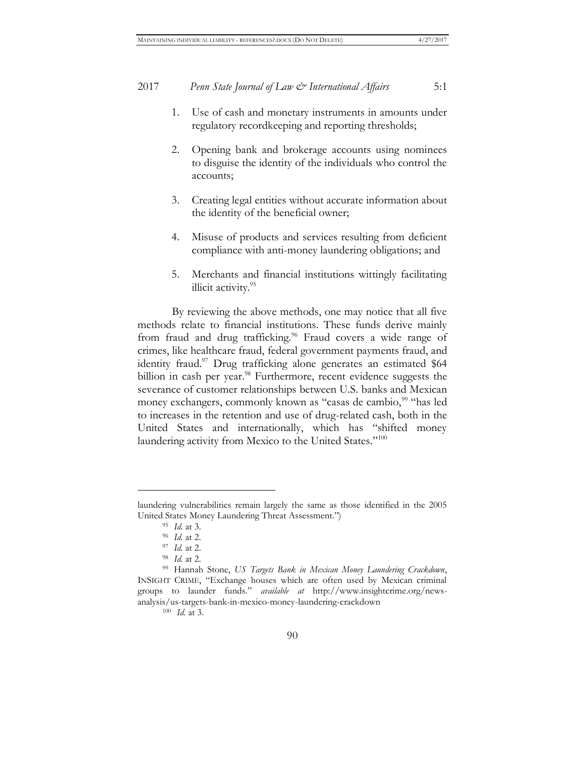- 1. Use of cash and monetary instruments in amounts under regulatory recordkeeping and reporting thresholds;
- 2. Opening bank and brokerage accounts using nominees to disguise the identity of the individuals who control the accounts;
- 3. Creating legal entities without accurate information about the identity of the beneficial owner;
- 4. Misuse of products and services resulting from deficient compliance with anti-money laundering obligations; and
- 5. Merchants and financial institutions wittingly facilitating illicit activity.<sup>95</sup>

By reviewing the above methods, one may notice that all five methods relate to financial institutions. These funds derive mainly from fraud and drug trafficking.<sup>96</sup> Fraud covers a wide range of crimes, like healthcare fraud, federal government payments fraud, and identity fraud.<sup>97</sup> Drug trafficking alone generates an estimated \$64 billion in cash per year.<sup>98</sup> Furthermore, recent evidence suggests the severance of customer relationships between U.S. banks and Mexican money exchangers, commonly known as "casas de cambio,<sup>99</sup> "has led to increases in the retention and use of drug-related cash, both in the United States and internationally, which has "shifted money laundering activity from Mexico to the United States."<sup>100</sup>

 $\overline{a}$ 

<sup>100</sup> *Id.* at 3.

laundering vulnerabilities remain largely the same as those identified in the 2005 United States Money Laundering Threat Assessment.")

<sup>95</sup> *Id.* at 3.

<sup>96</sup> *Id.* at 2.

<sup>97</sup> *Id.* at 2.

<sup>98</sup> *Id.* at 2.

<sup>99</sup> Hannah Stone, *US Targets Bank in Mexican Money Laundering Crackdown*, INSIGHT CRIME, "Exchange houses which are often used by Mexican criminal groups to launder funds." *available at* http://www.insightcrime.org/newsanalysis/us-targets-bank-in-mexico-money-laundering-crackdown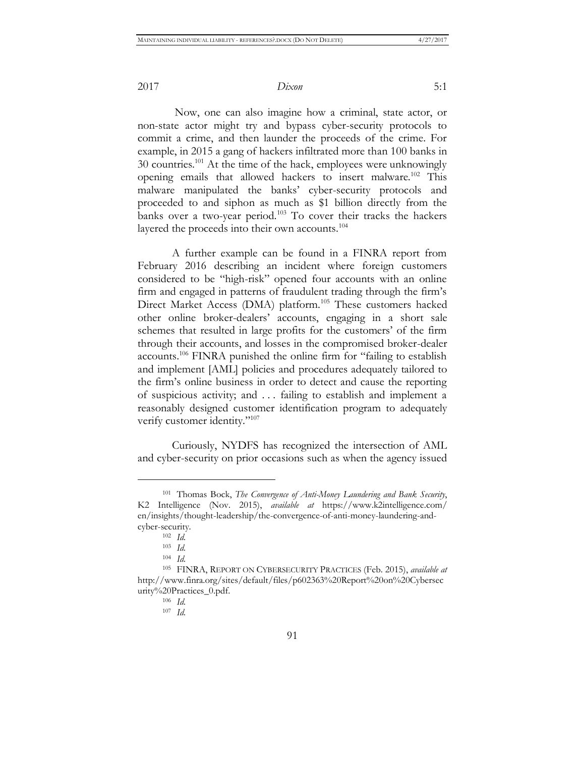Now, one can also imagine how a criminal, state actor, or non-state actor might try and bypass cyber-security protocols to commit a crime, and then launder the proceeds of the crime. For example, in 2015 a gang of hackers infiltrated more than 100 banks in 30 countries.<sup>101</sup> At the time of the hack, employees were unknowingly opening emails that allowed hackers to insert malware.<sup>102</sup> This malware manipulated the banks' cyber-security protocols and proceeded to and siphon as much as \$1 billion directly from the banks over a two-year period.<sup>103</sup> To cover their tracks the hackers layered the proceeds into their own accounts.<sup>104</sup>

A further example can be found in a FINRA report from February 2016 describing an incident where foreign customers considered to be "high-risk" opened four accounts with an online firm and engaged in patterns of fraudulent trading through the firm's Direct Market Access (DMA) platform.<sup>105</sup> These customers hacked other online broker-dealers' accounts, engaging in a short sale schemes that resulted in large profits for the customers' of the firm through their accounts, and losses in the compromised broker-dealer accounts.<sup>106</sup> FINRA punished the online firm for "failing to establish and implement [AML] policies and procedures adequately tailored to the firm's online business in order to detect and cause the reporting of suspicious activity; and . . . failing to establish and implement a reasonably designed customer identification program to adequately verify customer identity."<sup>107</sup>

Curiously, NYDFS has recognized the intersection of AML and cyber-security on prior occasions such as when the agency issued

<sup>101</sup> Thomas Bock, *The Convergence of Anti-Money Laundering and Bank Security*, K2 Intelligence (Nov. 2015), *available at* https://www.k2intelligence.com/ en/insights/thought-leadership/the-convergence-of-anti-money-laundering-andcyber-security.

<sup>102</sup> *Id.*

<sup>103</sup> *Id.*

<sup>104</sup> *Id.*

<sup>105</sup> FINRA, REPORT ON CYBERSECURITY PRACTICES (Feb. 2015), *available at* http://www.finra.org/sites/default/files/p602363%20Report%20on%20Cybersec urity%20Practices\_0.pdf.

<sup>106</sup> *Id.*

<sup>107</sup> *Id.*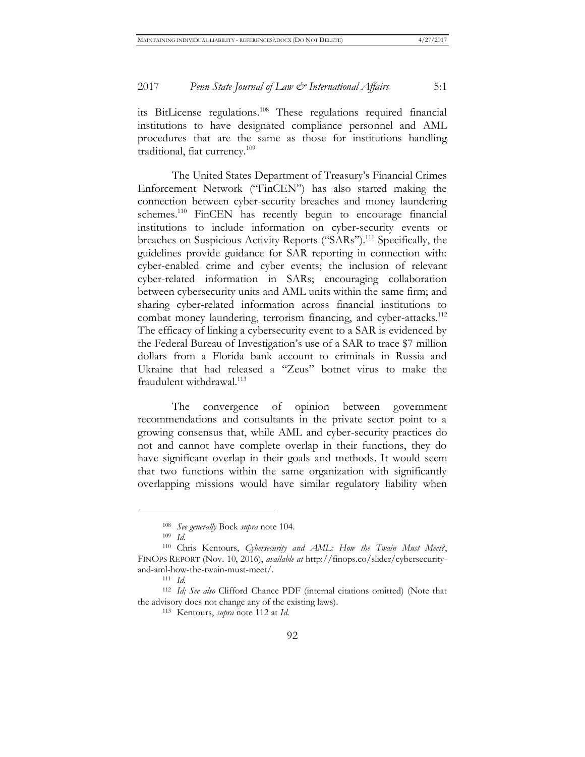its BitLicense regulations.<sup>108</sup> These regulations required financial institutions to have designated compliance personnel and AML procedures that are the same as those for institutions handling traditional, fiat currency.<sup>109</sup>

The United States Department of Treasury's Financial Crimes Enforcement Network ("FinCEN") has also started making the connection between cyber-security breaches and money laundering schemes.<sup>110</sup> FinCEN has recently begun to encourage financial institutions to include information on cyber-security events or breaches on Suspicious Activity Reports ("SARs").<sup>111</sup> Specifically, the guidelines provide guidance for SAR reporting in connection with: cyber-enabled crime and cyber events; the inclusion of relevant cyber-related information in SARs; encouraging collaboration between cybersecurity units and AML units within the same firm; and sharing cyber-related information across financial institutions to combat money laundering, terrorism financing, and cyber-attacks.<sup>112</sup> The efficacy of linking a cybersecurity event to a SAR is evidenced by the Federal Bureau of Investigation's use of a SAR to trace \$7 million dollars from a Florida bank account to criminals in Russia and Ukraine that had released a "Zeus" botnet virus to make the fraudulent withdrawal.<sup>113</sup>

The convergence of opinion between government recommendations and consultants in the private sector point to a growing consensus that, while AML and cyber-security practices do not and cannot have complete overlap in their functions, they do have significant overlap in their goals and methods. It would seem that two functions within the same organization with significantly overlapping missions would have similar regulatory liability when

<sup>108</sup> *See generally* Bock *supra* note 104.

<sup>109</sup> *Id.*

<sup>110</sup> Chris Kentours, *Cybersecurity and AML: How the Twain Must Meet?*, FINOPS REPORT (Nov. 10, 2016), *available at* http://finops.co/slider/cybersecurityand-aml-how-the-twain-must-meet/.

<sup>111</sup> *Id.*

<sup>112</sup> *Id; See also* Clifford Chance PDF (internal citations omitted) (Note that the advisory does not change any of the existing laws).

<sup>113</sup> Kentours, *supra* note 112 at *Id*.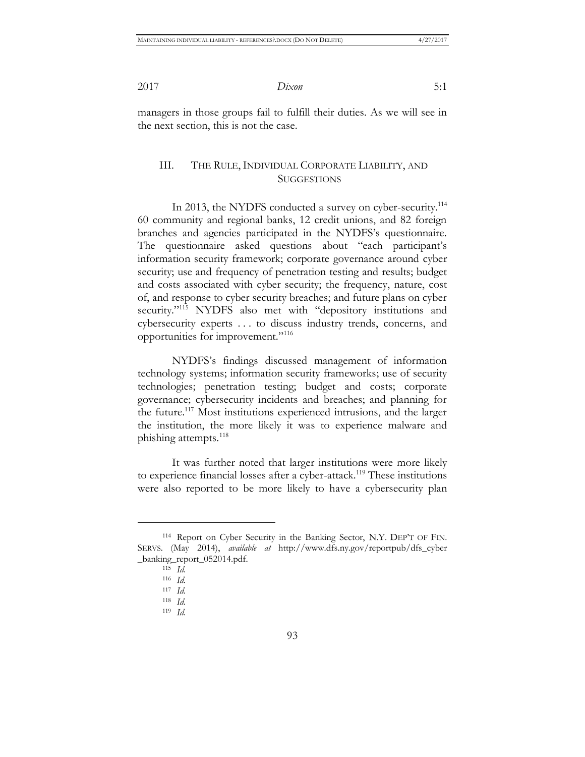managers in those groups fail to fulfill their duties. As we will see in the next section, this is not the case.

#### III. THE RULE, INDIVIDUAL CORPORATE LIABILITY, AND **SUGGESTIONS**

In 2013, the NYDFS conducted a survey on cyber-security.<sup>114</sup> 60 community and regional banks, 12 credit unions, and 82 foreign branches and agencies participated in the NYDFS's questionnaire. The questionnaire asked questions about "each participant's information security framework; corporate governance around cyber security; use and frequency of penetration testing and results; budget and costs associated with cyber security; the frequency, nature, cost of, and response to cyber security breaches; and future plans on cyber security."<sup>115</sup> NYDFS also met with "depository institutions and cybersecurity experts . . . to discuss industry trends, concerns, and opportunities for improvement."<sup>116</sup>

NYDFS's findings discussed management of information technology systems; information security frameworks; use of security technologies; penetration testing; budget and costs; corporate governance; cybersecurity incidents and breaches; and planning for the future.<sup>117</sup> Most institutions experienced intrusions, and the larger the institution, the more likely it was to experience malware and phishing attempts.<sup>118</sup>

It was further noted that larger institutions were more likely to experience financial losses after a cyber-attack.<sup>119</sup> These institutions were also reported to be more likely to have a cybersecurity plan

<sup>114</sup> Report on Cyber Security in the Banking Sector, N.Y. DEP'T OF FIN. SERVS. (May 2014), *available at* http://www.dfs.ny.gov/reportpub/dfs\_cyber \_banking\_report\_052014.pdf.

<sup>115</sup> *Id.*

<sup>116</sup> *Id.*

<sup>117</sup> *Id.*

<sup>118</sup> *Id.*

<sup>119</sup> *Id.*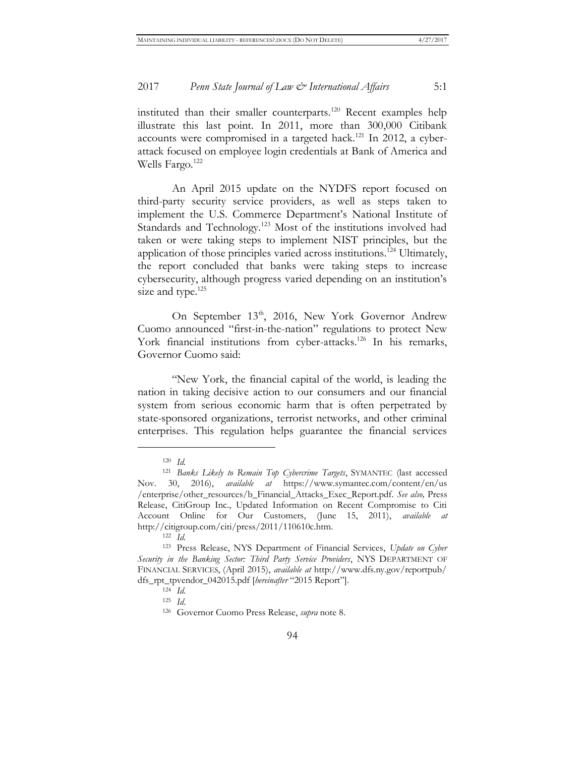instituted than their smaller counterparts.<sup>120</sup> Recent examples help illustrate this last point. In 2011, more than 300,000 Citibank accounts were compromised in a targeted hack.<sup>121</sup> In 2012, a cyberattack focused on employee login credentials at Bank of America and Wells Fargo. $122$ 

An April 2015 update on the NYDFS report focused on third-party security service providers, as well as steps taken to implement the U.S. Commerce Department's National Institute of Standards and Technology.<sup>123</sup> Most of the institutions involved had taken or were taking steps to implement NIST principles, but the application of those principles varied across institutions.<sup>124</sup> Ultimately, the report concluded that banks were taking steps to increase cybersecurity, although progress varied depending on an institution's size and type.<sup>125</sup>

On September 13<sup>th</sup>, 2016, New York Governor Andrew Cuomo announced "first-in-the-nation" regulations to protect New York financial institutions from cyber-attacks.<sup>126</sup> In his remarks, Governor Cuomo said:

"New York, the financial capital of the world, is leading the nation in taking decisive action to our consumers and our financial system from serious economic harm that is often perpetrated by state-sponsored organizations, terrorist networks, and other criminal enterprises. This regulation helps guarantee the financial services

<sup>120</sup> *Id.*

<sup>121</sup> *Banks Likely to Remain Top Cybercrime Targets*, SYMANTEC (last accessed Nov. 30, 2016), *available at* https://www.symantec.com/content/en/us /enterprise/other\_resources/b\_Financial\_Attacks\_Exec\_Report.pdf. *See also,* Press Release, CitiGroup Inc., Updated Information on Recent Compromise to Citi Account Online for Our Customers, (June 15, 2011), *available at* http://citigroup.com/citi/press/2011/110610c.htm.

<sup>122</sup> *Id.*

<sup>123</sup> Press Release, NYS Department of Financial Services, *Update on Cyber Security in the Banking Sector: Third Party Service Providers*, NYS DEPARTMENT OF FINANCIAL SERVICES, (April 2015), *available at* http://www.dfs.ny.gov/reportpub/ dfs\_rpt\_tpvendor\_042015.pdf [*hereinafter* "2015 Report"].

<sup>124</sup> *Id*.

<sup>125</sup> *Id*.

<sup>126</sup> Governor Cuomo Press Release, *supra* note 8.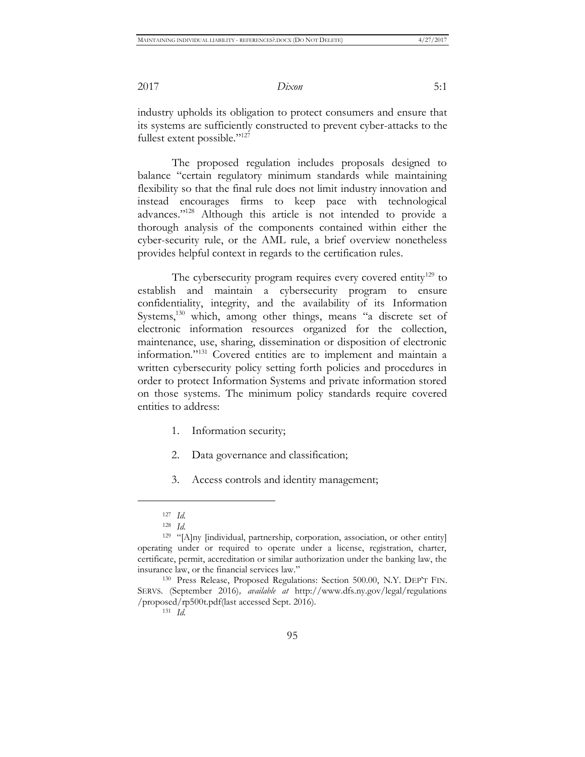industry upholds its obligation to protect consumers and ensure that its systems are sufficiently constructed to prevent cyber-attacks to the fullest extent possible."<sup>127</sup>

The proposed regulation includes proposals designed to balance "certain regulatory minimum standards while maintaining flexibility so that the final rule does not limit industry innovation and instead encourages firms to keep pace with technological advances."<sup>128</sup> Although this article is not intended to provide a thorough analysis of the components contained within either the cyber-security rule, or the AML rule, a brief overview nonetheless provides helpful context in regards to the certification rules.

The cybersecurity program requires every covered entity<sup>129</sup> to establish and maintain a cybersecurity program to ensure confidentiality, integrity, and the availability of its Information Systems,<sup>130</sup> which, among other things, means "a discrete set of electronic information resources organized for the collection, maintenance, use, sharing, dissemination or disposition of electronic information."<sup>131</sup> Covered entities are to implement and maintain a written cybersecurity policy setting forth policies and procedures in order to protect Information Systems and private information stored on those systems. The minimum policy standards require covered entities to address:

- 1. Information security;
- 2. Data governance and classification;
- 3. Access controls and identity management;

<sup>127</sup> *Id.*

<sup>128</sup> *Id.*

<sup>129</sup> "[A]ny [individual, partnership, corporation, association, or other entity] operating under or required to operate under a license, registration, charter, certificate, permit, accreditation or similar authorization under the banking law, the insurance law, or the financial services law."

<sup>130</sup> Press Release, Proposed Regulations: Section 500.00, N.Y. DEP'T FIN. SERVS. (September 2016)*, available at* http://www.dfs.ny.gov/legal/regulations /proposed/rp500t.pdf(last accessed Sept. 2016).

<sup>131</sup> *Id.*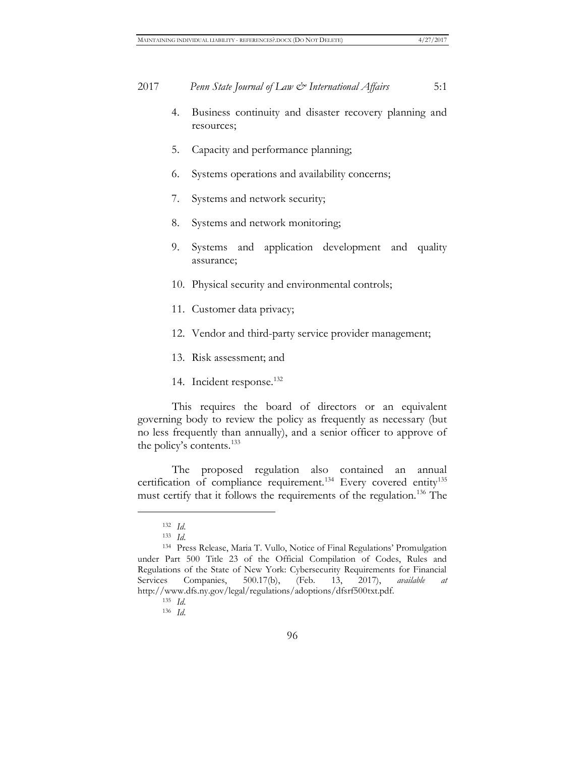- 4. Business continuity and disaster recovery planning and resources;
- 5. Capacity and performance planning;
- 6. Systems operations and availability concerns;
- 7. Systems and network security;
- 8. Systems and network monitoring;
- 9. Systems and application development and quality assurance;
- 10. Physical security and environmental controls;
- 11. Customer data privacy;
- 12. Vendor and third-party service provider management;
- 13. Risk assessment; and
- 14. Incident response.<sup>132</sup>

This requires the board of directors or an equivalent governing body to review the policy as frequently as necessary (but no less frequently than annually), and a senior officer to approve of the policy's contents.<sup>133</sup>

The proposed regulation also contained an annual certification of compliance requirement.<sup>134</sup> Every covered entity<sup>135</sup> must certify that it follows the requirements of the regulation.<sup>136</sup> The

<sup>132</sup> *Id*.

<sup>133</sup> *Id*.

<sup>134</sup> Press Release, Maria T. Vullo, Notice of Final Regulations' Promulgation under Part 500 Title 23 of the Official Compilation of Codes, Rules and Regulations of the State of New York: Cybersecurity Requirements for Financial Services Companies, 500.17(b), (Feb. 13, 2017), *available at* http://www.dfs.ny.gov/legal/regulations/adoptions/dfsrf500txt.pdf.

<sup>135</sup> *Id*.

<sup>136</sup> *Id*.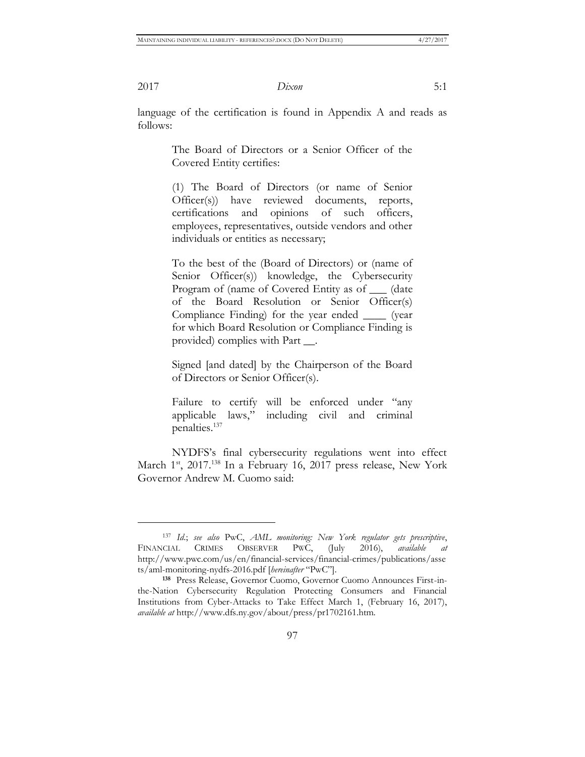$\overline{a}$ 

2017 *Dixon* 5:1

language of the certification is found in Appendix A and reads as follows:

> The Board of Directors or a Senior Officer of the Covered Entity certifies:

> (1) The Board of Directors (or name of Senior Officer(s)) have reviewed documents, reports, certifications and opinions of such officers, employees, representatives, outside vendors and other individuals or entities as necessary;

> To the best of the (Board of Directors) or (name of Senior Officer(s)) knowledge, the Cybersecurity Program of (name of Covered Entity as of \_\_\_ (date of the Board Resolution or Senior Officer(s) Compliance Finding) for the year ended \_\_\_\_ (year for which Board Resolution or Compliance Finding is provided) complies with Part \_\_.

> Signed [and dated] by the Chairperson of the Board of Directors or Senior Officer(s).

> Failure to certify will be enforced under "any applicable laws," including civil and criminal penalties.<sup>137</sup>

NYDFS's final cybersecurity regulations went into effect March 1<sup>st</sup>, 2017.<sup>138</sup> In a February 16, 2017 press release, New York Governor Andrew M. Cuomo said:

<sup>137</sup> *Id*.; *see also* PwC, *AML monitoring: New York regulator gets prescriptive*, FINANCIAL CRIMES OBSERVER PWC, (July 2016), *available at* http://www.pwc.com/us/en/financial-services/financial-crimes/publications/asse ts/aml-monitoring-nydfs-2016.pdf [*hereinafter* "PwC"].

**<sup>138</sup>** Press Release, Governor Cuomo, Governor Cuomo Announces First-inthe-Nation Cybersecurity Regulation Protecting Consumers and Financial Institutions from Cyber-Attacks to Take Effect March 1, (February 16, 2017), *available at* http://www.dfs.ny.gov/about/press/pr1702161.htm.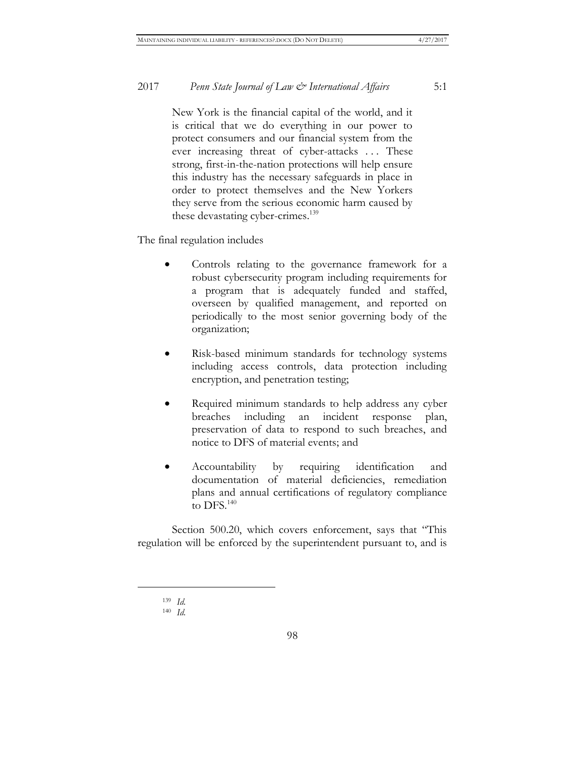New York is the financial capital of the world, and it is critical that we do everything in our power to protect consumers and our financial system from the ever increasing threat of cyber-attacks . . . These strong, first-in-the-nation protections will help ensure this industry has the necessary safeguards in place in order to protect themselves and the New Yorkers they serve from the serious economic harm caused by these devastating cyber-crimes.<sup>139</sup>

The final regulation includes

- Controls relating to the governance framework for a robust cybersecurity program including requirements for a program that is adequately funded and staffed, overseen by qualified management, and reported on periodically to the most senior governing body of the organization;
- Risk-based minimum standards for technology systems including access controls, data protection including encryption, and penetration testing;
- Required minimum standards to help address any cyber breaches including an incident response plan, preservation of data to respond to such breaches, and notice to DFS of material events; and
- Accountability by requiring identification and documentation of material deficiencies, remediation plans and annual certifications of regulatory compliance to DFS.<sup>140</sup>

Section 500.20, which covers enforcement, says that "This regulation will be enforced by the superintendent pursuant to, and is

<sup>139</sup> *Id.*

<sup>140</sup> *Id.*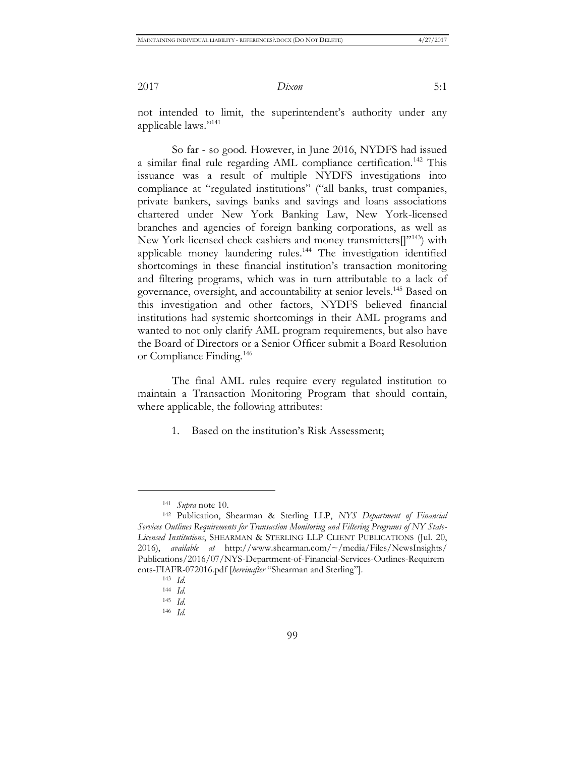not intended to limit, the superintendent's authority under any applicable laws."<sup>141</sup>

So far - so good. However, in June 2016, NYDFS had issued a similar final rule regarding AML compliance certification.<sup>142</sup> This issuance was a result of multiple NYDFS investigations into compliance at "regulated institutions" ("all banks, trust companies, private bankers, savings banks and savings and loans associations chartered under New York Banking Law, New York-licensed branches and agencies of foreign banking corporations, as well as New York-licensed check cashiers and money transmitters<sup>[1,143</sup>] with applicable money laundering rules.<sup>144</sup> The investigation identified shortcomings in these financial institution's transaction monitoring and filtering programs, which was in turn attributable to a lack of governance, oversight, and accountability at senior levels.<sup>145</sup> Based on this investigation and other factors, NYDFS believed financial institutions had systemic shortcomings in their AML programs and wanted to not only clarify AML program requirements, but also have the Board of Directors or a Senior Officer submit a Board Resolution or Compliance Finding.<sup>146</sup>

The final AML rules require every regulated institution to maintain a Transaction Monitoring Program that should contain, where applicable, the following attributes:

1. Based on the institution's Risk Assessment;

<sup>141</sup> *Supra* note 10.

<sup>142</sup> Publication, Shearman & Sterling LLP, *NYS Department of Financial Services Outlines Requirements for Transaction Monitoring and Filtering Programs of NY State-Licensed Institutions*, SHEARMAN & STERLING LLP CLIENT PUBLICATIONS (Jul. 20, 2016), *available at* http://www.shearman.com/~/media/Files/NewsInsights/ Publications/2016/07/NYS-Department-of-Financial-Services-Outlines-Requirem ents-FIAFR-072016.pdf [*hereinafter* "Shearman and Sterling"].

<sup>143</sup> *Id.*

<sup>144</sup> *Id.*

<sup>145</sup> *Id.*

<sup>146</sup> *Id.*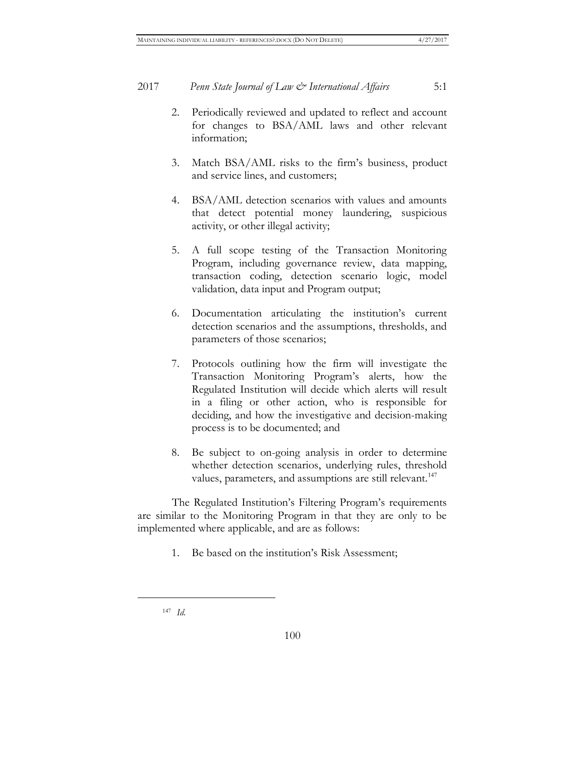- 2. Periodically reviewed and updated to reflect and account for changes to BSA/AML laws and other relevant information;
- 3. Match BSA/AML risks to the firm's business, product and service lines, and customers;
- 4. BSA/AML detection scenarios with values and amounts that detect potential money laundering, suspicious activity, or other illegal activity;
- 5. A full scope testing of the Transaction Monitoring Program, including governance review, data mapping, transaction coding, detection scenario logic, model validation, data input and Program output;
- 6. Documentation articulating the institution's current detection scenarios and the assumptions, thresholds, and parameters of those scenarios;
- 7. Protocols outlining how the firm will investigate the Transaction Monitoring Program's alerts, how the Regulated Institution will decide which alerts will result in a filing or other action, who is responsible for deciding, and how the investigative and decision-making process is to be documented; and
- 8. Be subject to on-going analysis in order to determine whether detection scenarios, underlying rules, threshold values, parameters, and assumptions are still relevant.<sup>147</sup>

The Regulated Institution's Filtering Program's requirements are similar to the Monitoring Program in that they are only to be implemented where applicable, and are as follows:

1. Be based on the institution's Risk Assessment;

<sup>147</sup> *Id.*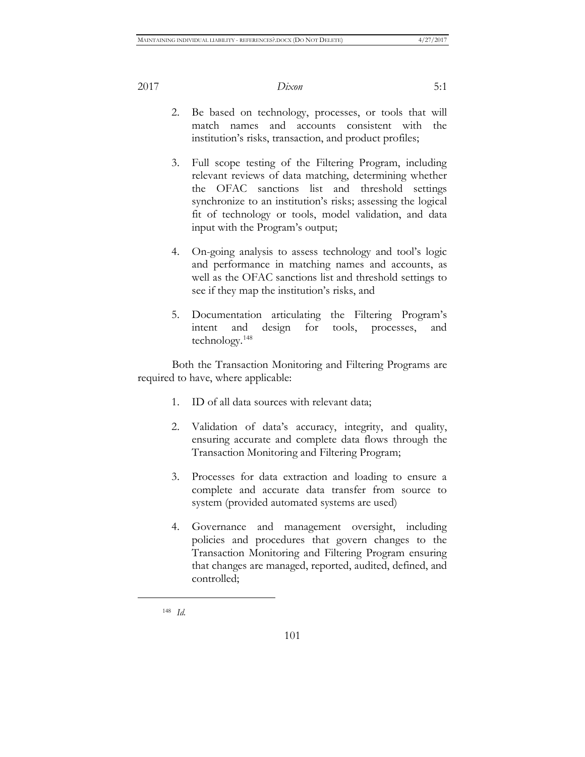- 2. Be based on technology, processes, or tools that will match names and accounts consistent with the institution's risks, transaction, and product profiles;
- 3. Full scope testing of the Filtering Program, including relevant reviews of data matching, determining whether the OFAC sanctions list and threshold settings synchronize to an institution's risks; assessing the logical fit of technology or tools, model validation, and data input with the Program's output;
- 4. On-going analysis to assess technology and tool's logic and performance in matching names and accounts, as well as the OFAC sanctions list and threshold settings to see if they map the institution's risks, and
- 5. Documentation articulating the Filtering Program's intent and design for tools, processes, and technology.<sup>148</sup>

Both the Transaction Monitoring and Filtering Programs are required to have, where applicable:

- 1. ID of all data sources with relevant data;
- 2. Validation of data's accuracy, integrity, and quality, ensuring accurate and complete data flows through the Transaction Monitoring and Filtering Program;
- 3. Processes for data extraction and loading to ensure a complete and accurate data transfer from source to system (provided automated systems are used)
- 4. Governance and management oversight, including policies and procedures that govern changes to the Transaction Monitoring and Filtering Program ensuring that changes are managed, reported, audited, defined, and controlled;

<sup>148</sup> *Id.*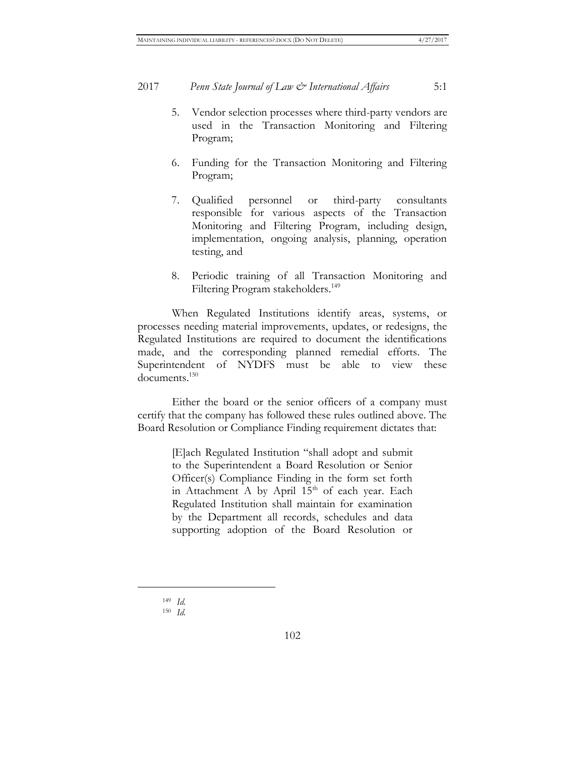- 5. Vendor selection processes where third-party vendors are used in the Transaction Monitoring and Filtering Program;
- 6. Funding for the Transaction Monitoring and Filtering Program;
- 7. Qualified personnel or third-party consultants responsible for various aspects of the Transaction Monitoring and Filtering Program, including design, implementation, ongoing analysis, planning, operation testing, and
- 8. Periodic training of all Transaction Monitoring and Filtering Program stakeholders.<sup>149</sup>

When Regulated Institutions identify areas, systems, or processes needing material improvements, updates, or redesigns, the Regulated Institutions are required to document the identifications made, and the corresponding planned remedial efforts. The Superintendent of NYDFS must be able to view these documents.<sup>150</sup>

Either the board or the senior officers of a company must certify that the company has followed these rules outlined above. The Board Resolution or Compliance Finding requirement dictates that:

> [E]ach Regulated Institution "shall adopt and submit to the Superintendent a Board Resolution or Senior Officer(s) Compliance Finding in the form set forth in Attachment A by April  $15<sup>th</sup>$  of each year. Each Regulated Institution shall maintain for examination by the Department all records, schedules and data supporting adoption of the Board Resolution or

<sup>149</sup> *Id.*

<sup>150</sup> *Id.*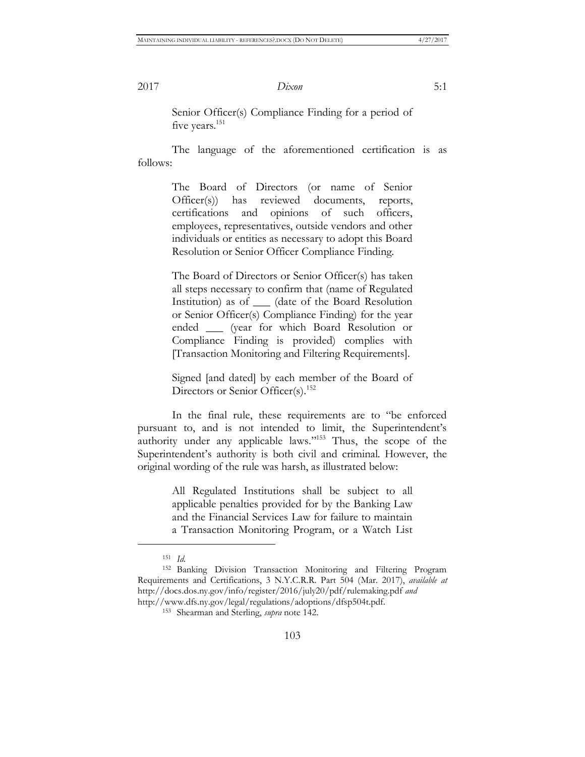Senior Officer(s) Compliance Finding for a period of five years.<sup>151</sup>

The language of the aforementioned certification is as follows:

> The Board of Directors (or name of Senior Officer(s)) has reviewed documents, reports, certifications and opinions of such officers, employees, representatives, outside vendors and other individuals or entities as necessary to adopt this Board Resolution or Senior Officer Compliance Finding.

> The Board of Directors or Senior Officer(s) has taken all steps necessary to confirm that (name of Regulated Institution) as of \_\_\_ (date of the Board Resolution or Senior Officer(s) Compliance Finding) for the year ended \_\_\_ (year for which Board Resolution or Compliance Finding is provided) complies with [Transaction Monitoring and Filtering Requirements].

> Signed [and dated] by each member of the Board of Directors or Senior Officer(s).<sup>152</sup>

In the final rule, these requirements are to "be enforced pursuant to, and is not intended to limit, the Superintendent's authority under any applicable laws."<sup>153</sup> Thus, the scope of the Superintendent's authority is both civil and criminal. However, the original wording of the rule was harsh, as illustrated below:

> All Regulated Institutions shall be subject to all applicable penalties provided for by the Banking Law and the Financial Services Law for failure to maintain a Transaction Monitoring Program, or a Watch List

<sup>151</sup> *Id.*

<sup>152</sup> Banking Division Transaction Monitoring and Filtering Program Requirements and Certifications, 3 N.Y.C.R.R. Part 504 (Mar. 2017), *available at* http://docs.dos.ny.gov/info/register/2016/july20/pdf/rulemaking.pdf *and* http://www.dfs.ny.gov/legal/regulations/adoptions/dfsp504t.pdf.

<sup>153</sup> Shearman and Sterling, *supra* note 142.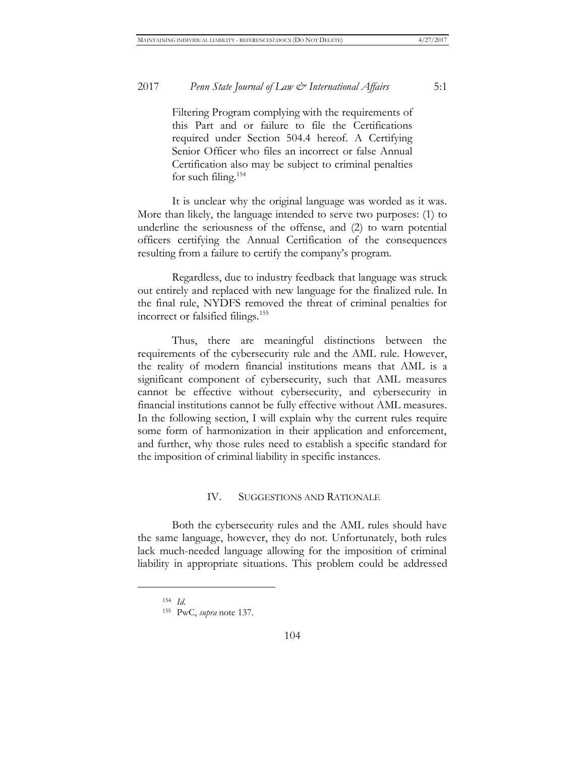Filtering Program complying with the requirements of this Part and or failure to file the Certifications required under Section 504.4 hereof. A Certifying Senior Officer who files an incorrect or false Annual Certification also may be subject to criminal penalties for such filing.<sup>154</sup>

It is unclear why the original language was worded as it was. More than likely, the language intended to serve two purposes: (1) to underline the seriousness of the offense, and (2) to warn potential officers certifying the Annual Certification of the consequences resulting from a failure to certify the company's program.

Regardless, due to industry feedback that language was struck out entirely and replaced with new language for the finalized rule. In the final rule, NYDFS removed the threat of criminal penalties for incorrect or falsified filings.<sup>155</sup>

Thus, there are meaningful distinctions between the requirements of the cybersecurity rule and the AML rule. However, the reality of modern financial institutions means that AML is a significant component of cybersecurity, such that AML measures cannot be effective without cybersecurity, and cybersecurity in financial institutions cannot be fully effective without AML measures. In the following section, I will explain why the current rules require some form of harmonization in their application and enforcement, and further, why those rules need to establish a specific standard for the imposition of criminal liability in specific instances.

#### IV. SUGGESTIONS AND RATIONALE

Both the cybersecurity rules and the AML rules should have the same language, however, they do not. Unfortunately, both rules lack much-needed language allowing for the imposition of criminal liability in appropriate situations. This problem could be addressed

<sup>154</sup> *Id.*

<sup>155</sup> PwC, *supra* note 137.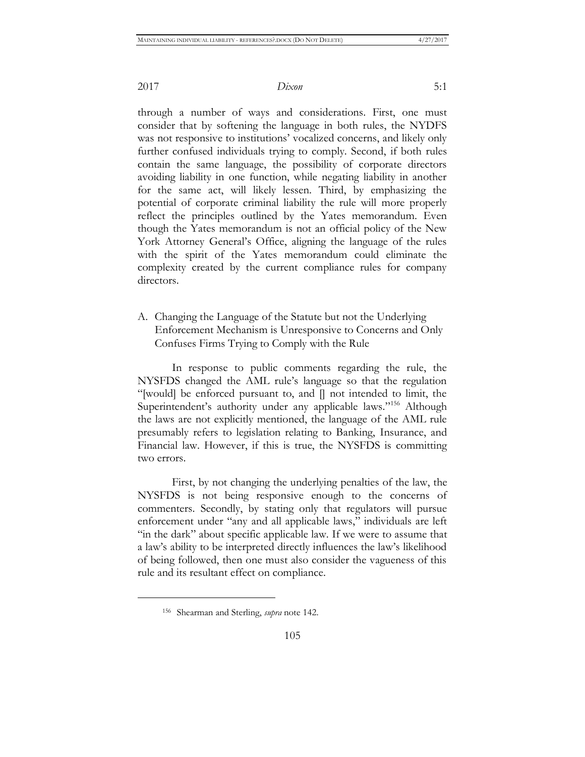through a number of ways and considerations. First, one must consider that by softening the language in both rules, the NYDFS was not responsive to institutions' vocalized concerns, and likely only further confused individuals trying to comply. Second, if both rules contain the same language, the possibility of corporate directors avoiding liability in one function, while negating liability in another for the same act, will likely lessen. Third, by emphasizing the potential of corporate criminal liability the rule will more properly reflect the principles outlined by the Yates memorandum. Even though the Yates memorandum is not an official policy of the New York Attorney General's Office, aligning the language of the rules with the spirit of the Yates memorandum could eliminate the complexity created by the current compliance rules for company directors.

A. Changing the Language of the Statute but not the Underlying Enforcement Mechanism is Unresponsive to Concerns and Only Confuses Firms Trying to Comply with the Rule

In response to public comments regarding the rule, the NYSFDS changed the AML rule's language so that the regulation "[would] be enforced pursuant to, and [] not intended to limit, the Superintendent's authority under any applicable laws."<sup>156</sup> Although the laws are not explicitly mentioned, the language of the AML rule presumably refers to legislation relating to Banking, Insurance, and Financial law. However, if this is true, the NYSFDS is committing two errors.

First, by not changing the underlying penalties of the law, the NYSFDS is not being responsive enough to the concerns of commenters. Secondly, by stating only that regulators will pursue enforcement under "any and all applicable laws," individuals are left "in the dark" about specific applicable law. If we were to assume that a law's ability to be interpreted directly influences the law's likelihood of being followed, then one must also consider the vagueness of this rule and its resultant effect on compliance.

<sup>156</sup> Shearman and Sterling, *supra* note 142.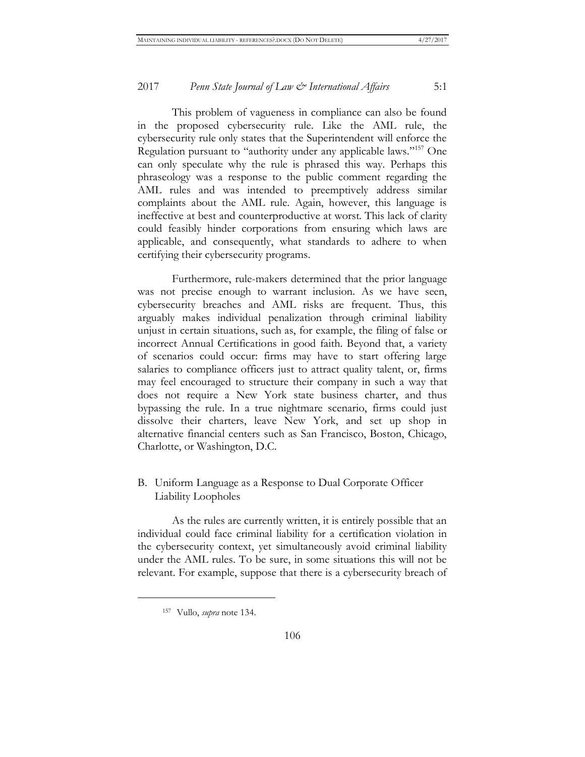This problem of vagueness in compliance can also be found in the proposed cybersecurity rule. Like the AML rule, the cybersecurity rule only states that the Superintendent will enforce the Regulation pursuant to "authority under any applicable laws."<sup>157</sup> One can only speculate why the rule is phrased this way. Perhaps this phraseology was a response to the public comment regarding the AML rules and was intended to preemptively address similar complaints about the AML rule. Again, however, this language is ineffective at best and counterproductive at worst. This lack of clarity could feasibly hinder corporations from ensuring which laws are applicable, and consequently, what standards to adhere to when certifying their cybersecurity programs.

Furthermore, rule-makers determined that the prior language was not precise enough to warrant inclusion. As we have seen, cybersecurity breaches and AML risks are frequent. Thus, this arguably makes individual penalization through criminal liability unjust in certain situations, such as, for example, the filing of false or incorrect Annual Certifications in good faith. Beyond that, a variety of scenarios could occur: firms may have to start offering large salaries to compliance officers just to attract quality talent, or, firms may feel encouraged to structure their company in such a way that does not require a New York state business charter, and thus bypassing the rule. In a true nightmare scenario, firms could just dissolve their charters, leave New York, and set up shop in alternative financial centers such as San Francisco, Boston, Chicago, Charlotte, or Washington, D.C.

#### B. Uniform Language as a Response to Dual Corporate Officer Liability Loopholes

As the rules are currently written, it is entirely possible that an individual could face criminal liability for a certification violation in the cybersecurity context, yet simultaneously avoid criminal liability under the AML rules. To be sure, in some situations this will not be relevant. For example, suppose that there is a cybersecurity breach of

<sup>157</sup> Vullo, *supra* note 134.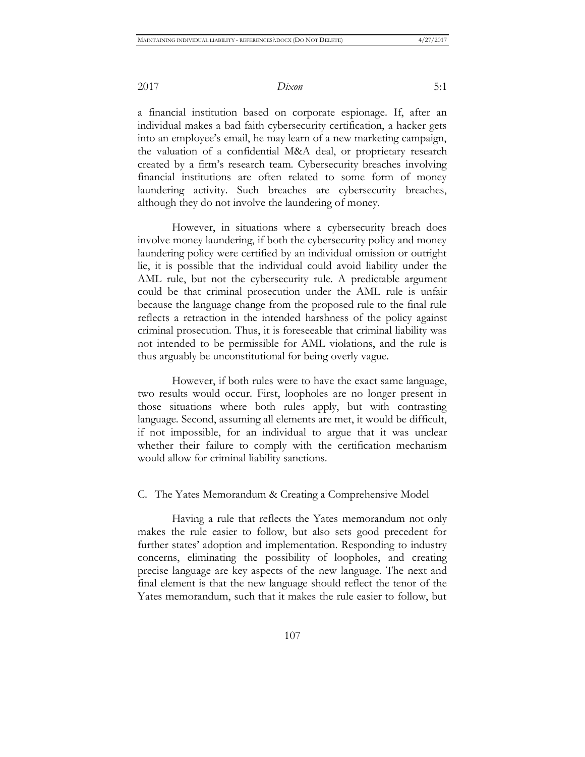a financial institution based on corporate espionage. If, after an individual makes a bad faith cybersecurity certification, a hacker gets into an employee's email, he may learn of a new marketing campaign, the valuation of a confidential M&A deal, or proprietary research created by a firm's research team. Cybersecurity breaches involving financial institutions are often related to some form of money laundering activity. Such breaches are cybersecurity breaches, although they do not involve the laundering of money.

However, in situations where a cybersecurity breach does involve money laundering, if both the cybersecurity policy and money laundering policy were certified by an individual omission or outright lie, it is possible that the individual could avoid liability under the AML rule, but not the cybersecurity rule. A predictable argument could be that criminal prosecution under the AML rule is unfair because the language change from the proposed rule to the final rule reflects a retraction in the intended harshness of the policy against criminal prosecution. Thus, it is foreseeable that criminal liability was not intended to be permissible for AML violations, and the rule is thus arguably be unconstitutional for being overly vague.

However, if both rules were to have the exact same language, two results would occur. First, loopholes are no longer present in those situations where both rules apply, but with contrasting language. Second, assuming all elements are met, it would be difficult, if not impossible, for an individual to argue that it was unclear whether their failure to comply with the certification mechanism would allow for criminal liability sanctions.

#### C. The Yates Memorandum & Creating a Comprehensive Model

Having a rule that reflects the Yates memorandum not only makes the rule easier to follow, but also sets good precedent for further states' adoption and implementation. Responding to industry concerns, eliminating the possibility of loopholes, and creating precise language are key aspects of the new language. The next and final element is that the new language should reflect the tenor of the Yates memorandum, such that it makes the rule easier to follow, but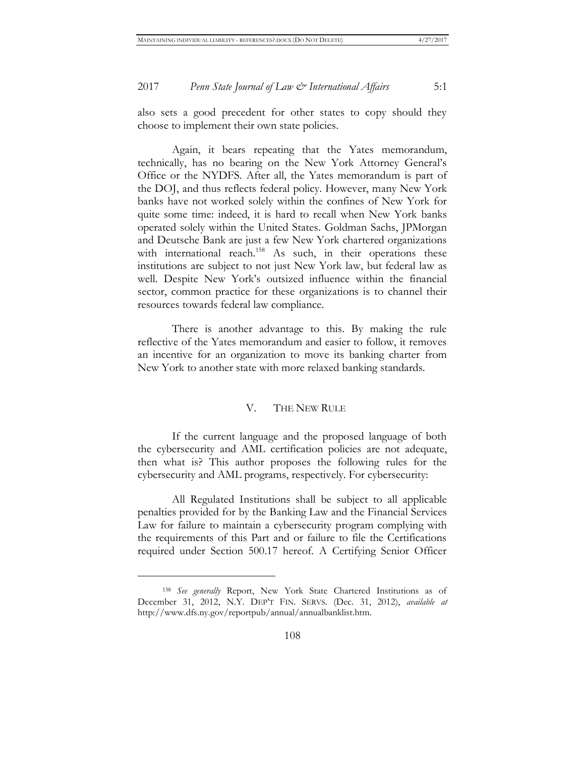also sets a good precedent for other states to copy should they choose to implement their own state policies.

Again, it bears repeating that the Yates memorandum, technically, has no bearing on the New York Attorney General's Office or the NYDFS. After all, the Yates memorandum is part of the DOJ, and thus reflects federal policy. However, many New York banks have not worked solely within the confines of New York for quite some time: indeed, it is hard to recall when New York banks operated solely within the United States. Goldman Sachs, JPMorgan and Deutsche Bank are just a few New York chartered organizations with international reach.<sup>158</sup> As such, in their operations these institutions are subject to not just New York law, but federal law as well. Despite New York's outsized influence within the financial sector, common practice for these organizations is to channel their resources towards federal law compliance.

There is another advantage to this. By making the rule reflective of the Yates memorandum and easier to follow, it removes an incentive for an organization to move its banking charter from New York to another state with more relaxed banking standards.

#### V. THE NEW RULE

If the current language and the proposed language of both the cybersecurity and AML certification policies are not adequate, then what is? This author proposes the following rules for the cybersecurity and AML programs, respectively. For cybersecurity:

All Regulated Institutions shall be subject to all applicable penalties provided for by the Banking Law and the Financial Services Law for failure to maintain a cybersecurity program complying with the requirements of this Part and or failure to file the Certifications required under Section 500.17 hereof. A Certifying Senior Officer

<sup>158</sup> *See generally* Report, New York State Chartered Institutions as of December 31, 2012, N.Y. DEP'T FIN. SERVS. (Dec. 31, 2012), *available at* http://www.dfs.ny.gov/reportpub/annual/annualbanklist.htm.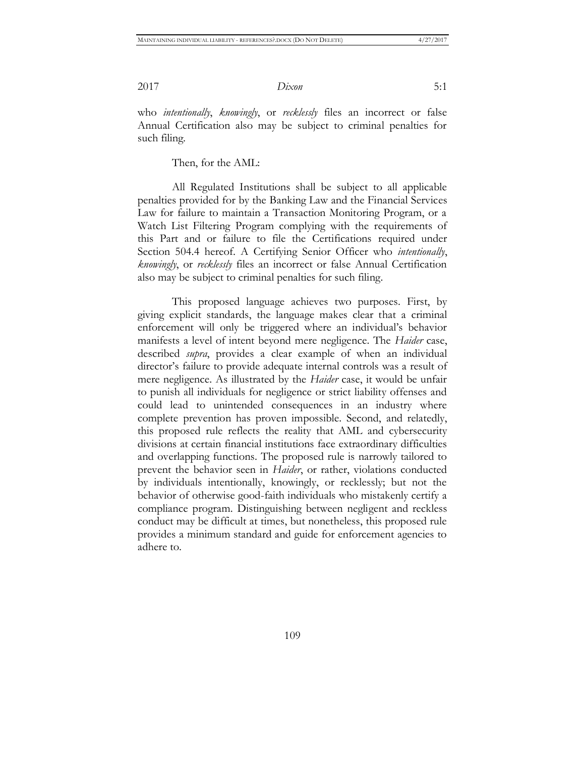who *intentionally*, *knowingly*, or *recklessly* files an incorrect or false Annual Certification also may be subject to criminal penalties for such filing.

Then, for the AML:

All Regulated Institutions shall be subject to all applicable penalties provided for by the Banking Law and the Financial Services Law for failure to maintain a Transaction Monitoring Program, or a Watch List Filtering Program complying with the requirements of this Part and or failure to file the Certifications required under Section 504.4 hereof. A Certifying Senior Officer who *intentionally*, *knowingly*, or *recklessly* files an incorrect or false Annual Certification also may be subject to criminal penalties for such filing.

This proposed language achieves two purposes. First, by giving explicit standards, the language makes clear that a criminal enforcement will only be triggered where an individual's behavior manifests a level of intent beyond mere negligence. The *Haider* case, described *supra*, provides a clear example of when an individual director's failure to provide adequate internal controls was a result of mere negligence. As illustrated by the *Haider* case, it would be unfair to punish all individuals for negligence or strict liability offenses and could lead to unintended consequences in an industry where complete prevention has proven impossible. Second, and relatedly, this proposed rule reflects the reality that AML and cybersecurity divisions at certain financial institutions face extraordinary difficulties and overlapping functions. The proposed rule is narrowly tailored to prevent the behavior seen in *Haider*, or rather, violations conducted by individuals intentionally, knowingly, or recklessly; but not the behavior of otherwise good-faith individuals who mistakenly certify a compliance program. Distinguishing between negligent and reckless conduct may be difficult at times, but nonetheless, this proposed rule provides a minimum standard and guide for enforcement agencies to adhere to.

109